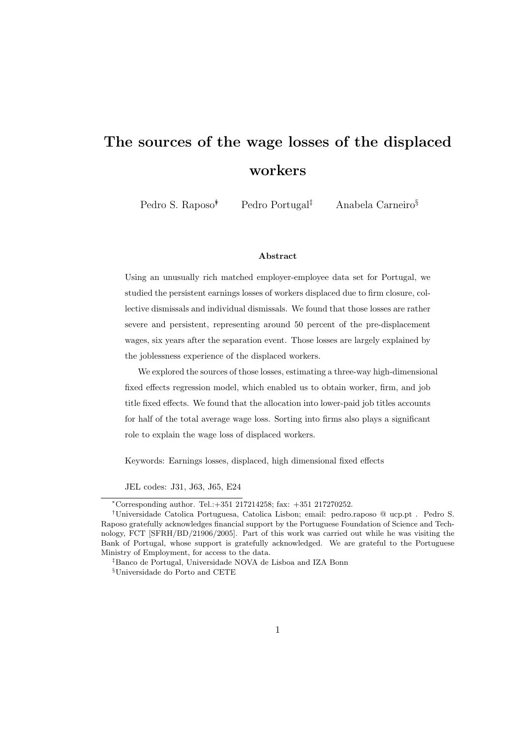# The sources of the wage losses of the displaced workers

Pedro S. Raposo<sup>†</sup> Pedro Portugal<sup>‡</sup> Anabela Carneiro<sup>§</sup>

#### Abstract

Using an unusually rich matched employer-employee data set for Portugal, we studied the persistent earnings losses of workers displaced due to firm closure, collective dismissals and individual dismissals. We found that those losses are rather severe and persistent, representing around 50 percent of the pre-displacement wages, six years after the separation event. Those losses are largely explained by the joblessness experience of the displaced workers.

We explored the sources of those losses, estimating a three-way high-dimensional fixed effects regression model, which enabled us to obtain worker, firm, and job title fixed effects. We found that the allocation into lower-paid job titles accounts for half of the total average wage loss. Sorting into firms also plays a significant role to explain the wage loss of displaced workers.

Keywords: Earnings losses, displaced, high dimensional fixed effects

JEL codes: J31, J63, J65, E24

<sup>∗</sup>Corresponding author. Tel.:+351 217214258; fax: +351 217270252.

<sup>†</sup>Universidade Catolica Portuguesa, Catolica Lisbon; email: pedro.raposo @ ucp.pt . Pedro S. Raposo gratefully acknowledges financial support by the Portuguese Foundation of Science and Technology, FCT [SFRH/BD/21906/2005]. Part of this work was carried out while he was visiting the Bank of Portugal, whose support is gratefully acknowledged. We are grateful to the Portuguese Ministry of Employment, for access to the data.

<sup>‡</sup>Banco de Portugal, Universidade NOVA de Lisboa and IZA Bonn  $^{\S}{\rm Universe}$  do Porto and CETE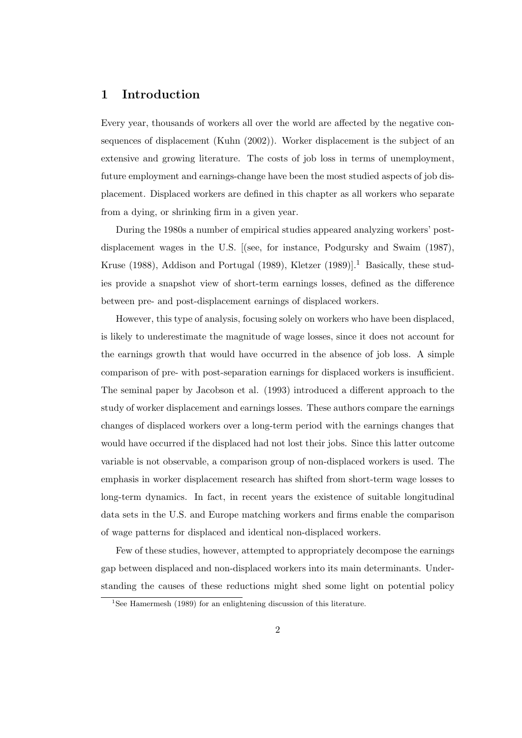# 1 Introduction

Every year, thousands of workers all over the world are affected by the negative consequences of displacement (Kuhn (2002)). Worker displacement is the subject of an extensive and growing literature. The costs of job loss in terms of unemployment, future employment and earnings-change have been the most studied aspects of job displacement. Displaced workers are defined in this chapter as all workers who separate from a dying, or shrinking firm in a given year.

During the 1980s a number of empirical studies appeared analyzing workers' postdisplacement wages in the U.S. [(see, for instance, Podgursky and Swaim (1987), Kruse (1988), Addison and Portugal (1989), Kletzer (1989)].<sup>1</sup> Basically, these studies provide a snapshot view of short-term earnings losses, defined as the difference between pre- and post-displacement earnings of displaced workers.

However, this type of analysis, focusing solely on workers who have been displaced, is likely to underestimate the magnitude of wage losses, since it does not account for the earnings growth that would have occurred in the absence of job loss. A simple comparison of pre- with post-separation earnings for displaced workers is insufficient. The seminal paper by Jacobson et al. (1993) introduced a different approach to the study of worker displacement and earnings losses. These authors compare the earnings changes of displaced workers over a long-term period with the earnings changes that would have occurred if the displaced had not lost their jobs. Since this latter outcome variable is not observable, a comparison group of non-displaced workers is used. The emphasis in worker displacement research has shifted from short-term wage losses to long-term dynamics. In fact, in recent years the existence of suitable longitudinal data sets in the U.S. and Europe matching workers and firms enable the comparison of wage patterns for displaced and identical non-displaced workers.

Few of these studies, however, attempted to appropriately decompose the earnings gap between displaced and non-displaced workers into its main determinants. Understanding the causes of these reductions might shed some light on potential policy

<sup>&</sup>lt;sup>1</sup>See Hamermesh (1989) for an enlightening discussion of this literature.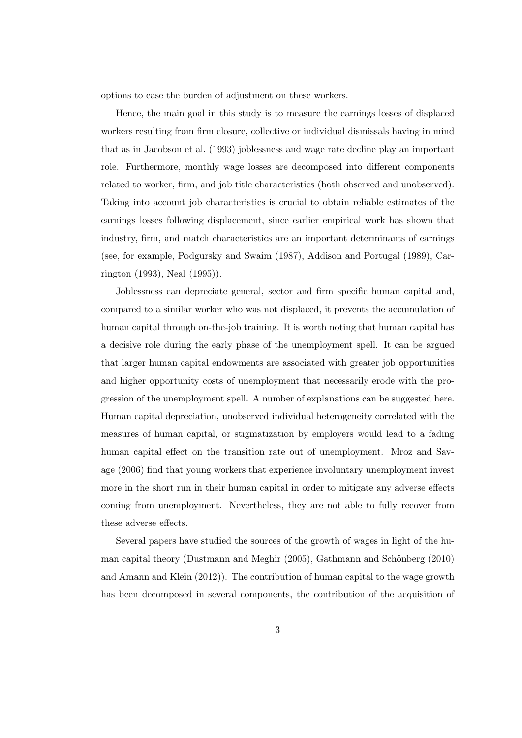options to ease the burden of adjustment on these workers.

Hence, the main goal in this study is to measure the earnings losses of displaced workers resulting from firm closure, collective or individual dismissals having in mind that as in Jacobson et al. (1993) joblessness and wage rate decline play an important role. Furthermore, monthly wage losses are decomposed into different components related to worker, firm, and job title characteristics (both observed and unobserved). Taking into account job characteristics is crucial to obtain reliable estimates of the earnings losses following displacement, since earlier empirical work has shown that industry, firm, and match characteristics are an important determinants of earnings (see, for example, Podgursky and Swaim (1987), Addison and Portugal (1989), Carrington (1993), Neal (1995)).

Joblessness can depreciate general, sector and firm specific human capital and, compared to a similar worker who was not displaced, it prevents the accumulation of human capital through on-the-job training. It is worth noting that human capital has a decisive role during the early phase of the unemployment spell. It can be argued that larger human capital endowments are associated with greater job opportunities and higher opportunity costs of unemployment that necessarily erode with the progression of the unemployment spell. A number of explanations can be suggested here. Human capital depreciation, unobserved individual heterogeneity correlated with the measures of human capital, or stigmatization by employers would lead to a fading human capital effect on the transition rate out of unemployment. Mroz and Savage (2006) find that young workers that experience involuntary unemployment invest more in the short run in their human capital in order to mitigate any adverse effects coming from unemployment. Nevertheless, they are not able to fully recover from these adverse effects.

Several papers have studied the sources of the growth of wages in light of the human capital theory (Dustmann and Meghir  $(2005)$ , Gathmann and Schönberg  $(2010)$ ) and Amann and Klein (2012)). The contribution of human capital to the wage growth has been decomposed in several components, the contribution of the acquisition of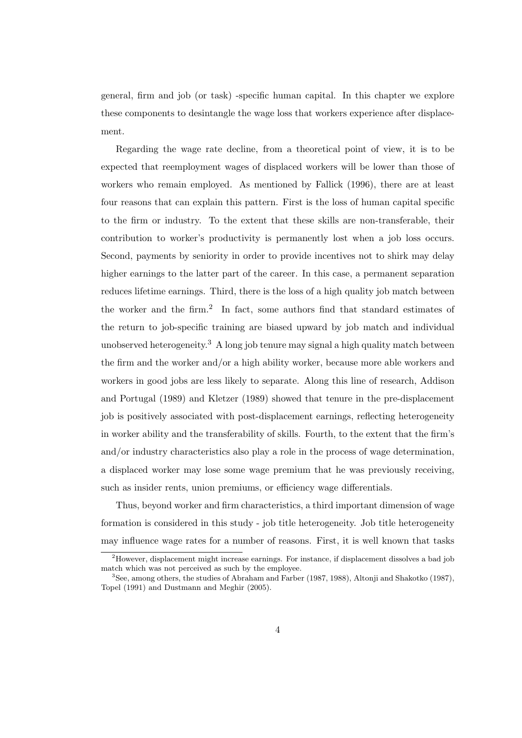general, firm and job (or task) -specific human capital. In this chapter we explore these components to desintangle the wage loss that workers experience after displacement.

Regarding the wage rate decline, from a theoretical point of view, it is to be expected that reemployment wages of displaced workers will be lower than those of workers who remain employed. As mentioned by Fallick (1996), there are at least four reasons that can explain this pattern. First is the loss of human capital specific to the firm or industry. To the extent that these skills are non-transferable, their contribution to worker's productivity is permanently lost when a job loss occurs. Second, payments by seniority in order to provide incentives not to shirk may delay higher earnings to the latter part of the career. In this case, a permanent separation reduces lifetime earnings. Third, there is the loss of a high quality job match between the worker and the firm.<sup>2</sup> In fact, some authors find that standard estimates of the return to job-specific training are biased upward by job match and individual unobserved heterogeneity.<sup>3</sup> A long job tenure may signal a high quality match between the firm and the worker and/or a high ability worker, because more able workers and workers in good jobs are less likely to separate. Along this line of research, Addison and Portugal (1989) and Kletzer (1989) showed that tenure in the pre-displacement job is positively associated with post-displacement earnings, reflecting heterogeneity in worker ability and the transferability of skills. Fourth, to the extent that the firm's and/or industry characteristics also play a role in the process of wage determination, a displaced worker may lose some wage premium that he was previously receiving, such as insider rents, union premiums, or efficiency wage differentials.

Thus, beyond worker and firm characteristics, a third important dimension of wage formation is considered in this study - job title heterogeneity. Job title heterogeneity may influence wage rates for a number of reasons. First, it is well known that tasks

<sup>2</sup>However, displacement might increase earnings. For instance, if displacement dissolves a bad job match which was not perceived as such by the employee.

<sup>3</sup>See, among others, the studies of Abraham and Farber (1987, 1988), Altonji and Shakotko (1987), Topel (1991) and Dustmann and Meghir (2005).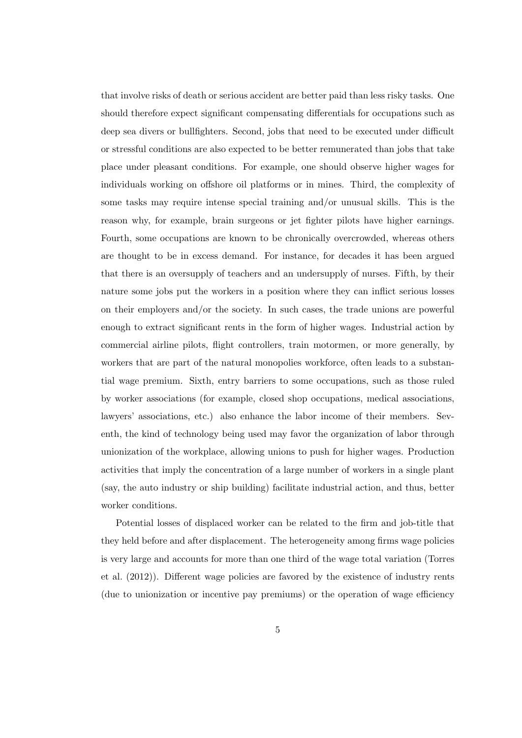that involve risks of death or serious accident are better paid than less risky tasks. One should therefore expect significant compensating differentials for occupations such as deep sea divers or bullfighters. Second, jobs that need to be executed under difficult or stressful conditions are also expected to be better remunerated than jobs that take place under pleasant conditions. For example, one should observe higher wages for individuals working on offshore oil platforms or in mines. Third, the complexity of some tasks may require intense special training and/or unusual skills. This is the reason why, for example, brain surgeons or jet fighter pilots have higher earnings. Fourth, some occupations are known to be chronically overcrowded, whereas others are thought to be in excess demand. For instance, for decades it has been argued that there is an oversupply of teachers and an undersupply of nurses. Fifth, by their nature some jobs put the workers in a position where they can inflict serious losses on their employers and/or the society. In such cases, the trade unions are powerful enough to extract significant rents in the form of higher wages. Industrial action by commercial airline pilots, flight controllers, train motormen, or more generally, by workers that are part of the natural monopolies workforce, often leads to a substantial wage premium. Sixth, entry barriers to some occupations, such as those ruled by worker associations (for example, closed shop occupations, medical associations, lawyers' associations, etc.) also enhance the labor income of their members. Seventh, the kind of technology being used may favor the organization of labor through unionization of the workplace, allowing unions to push for higher wages. Production activities that imply the concentration of a large number of workers in a single plant (say, the auto industry or ship building) facilitate industrial action, and thus, better worker conditions.

Potential losses of displaced worker can be related to the firm and job-title that they held before and after displacement. The heterogeneity among firms wage policies is very large and accounts for more than one third of the wage total variation (Torres et al. (2012)). Different wage policies are favored by the existence of industry rents (due to unionization or incentive pay premiums) or the operation of wage efficiency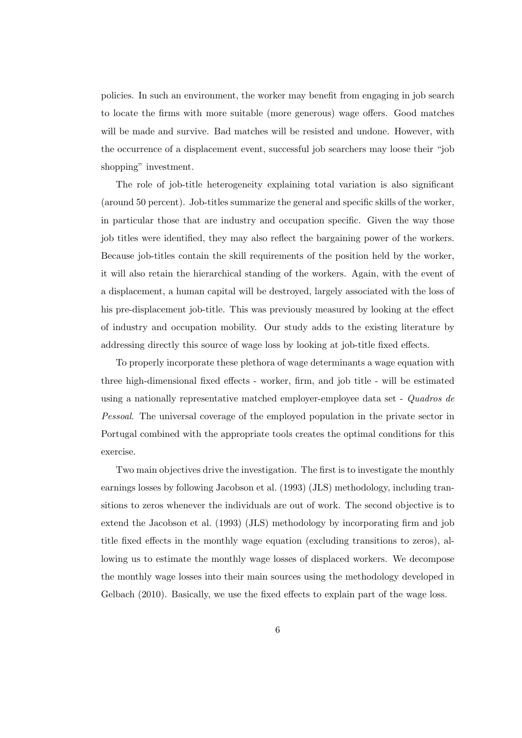policies. In such an environment, the worker may benefit from engaging in job search to locate the firms with more suitable (more generous) wage offers. Good matches will be made and survive. Bad matches will be resisted and undone. However, with the occurrence of a displacement event, successful job searchers may loose their "job shopping" investment.

The role of job-title heterogeneity explaining total variation is also significant (around 50 percent). Job-titles summarize the general and specific skills of the worker, in particular those that are industry and occupation specific. Given the way those job titles were identified, they may also reflect the bargaining power of the workers. Because job-titles contain the skill requirements of the position held by the worker, it will also retain the hierarchical standing of the workers. Again, with the event of a displacement, a human capital will be destroyed, largely associated with the loss of his pre-displacement job-title. This was previously measured by looking at the effect of industry and occupation mobility. Our study adds to the existing literature by addressing directly this source of wage loss by looking at job-title fixed effects.

To properly incorporate these plethora of wage determinants a wage equation with three high-dimensional fixed effects - worker, firm, and job title - will be estimated using a nationally representative matched employer-employee data set - Quadros de Pessoal. The universal coverage of the employed population in the private sector in Portugal combined with the appropriate tools creates the optimal conditions for this exercise.

Two main objectives drive the investigation. The first is to investigate the monthly earnings losses by following Jacobson et al. (1993) (JLS) methodology, including transitions to zeros whenever the individuals are out of work. The second objective is to extend the Jacobson et al. (1993) (JLS) methodology by incorporating firm and job title fixed effects in the monthly wage equation (excluding transitions to zeros), allowing us to estimate the monthly wage losses of displaced workers. We decompose the monthly wage losses into their main sources using the methodology developed in Gelbach (2010). Basically, we use the fixed effects to explain part of the wage loss.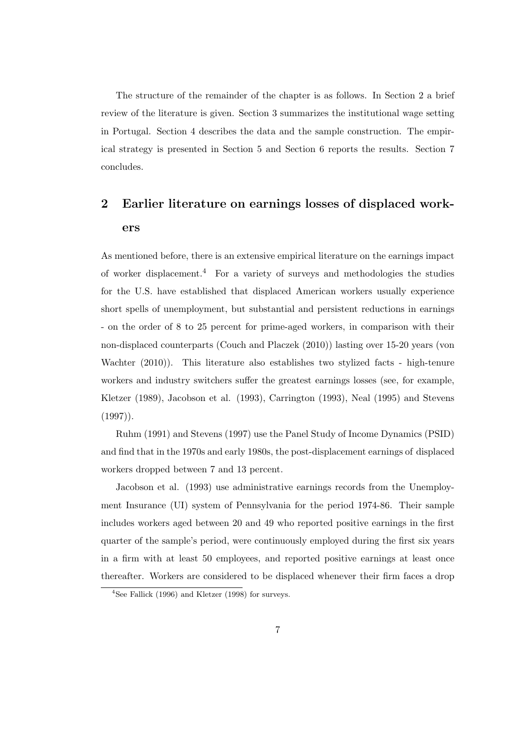The structure of the remainder of the chapter is as follows. In Section 2 a brief review of the literature is given. Section 3 summarizes the institutional wage setting in Portugal. Section 4 describes the data and the sample construction. The empirical strategy is presented in Section 5 and Section 6 reports the results. Section 7 concludes.

# 2 Earlier literature on earnings losses of displaced workers

As mentioned before, there is an extensive empirical literature on the earnings impact of worker displacement.<sup>4</sup> For a variety of surveys and methodologies the studies for the U.S. have established that displaced American workers usually experience short spells of unemployment, but substantial and persistent reductions in earnings - on the order of 8 to 25 percent for prime-aged workers, in comparison with their non-displaced counterparts (Couch and Placzek (2010)) lasting over 15-20 years (von Wachter (2010)). This literature also establishes two stylized facts - high-tenure workers and industry switchers suffer the greatest earnings losses (see, for example, Kletzer (1989), Jacobson et al. (1993), Carrington (1993), Neal (1995) and Stevens  $(1997)$ .

Ruhm (1991) and Stevens (1997) use the Panel Study of Income Dynamics (PSID) and find that in the 1970s and early 1980s, the post-displacement earnings of displaced workers dropped between 7 and 13 percent.

Jacobson et al. (1993) use administrative earnings records from the Unemployment Insurance (UI) system of Pennsylvania for the period 1974-86. Their sample includes workers aged between 20 and 49 who reported positive earnings in the first quarter of the sample's period, were continuously employed during the first six years in a firm with at least 50 employees, and reported positive earnings at least once thereafter. Workers are considered to be displaced whenever their firm faces a drop

<sup>4</sup>See Fallick (1996) and Kletzer (1998) for surveys.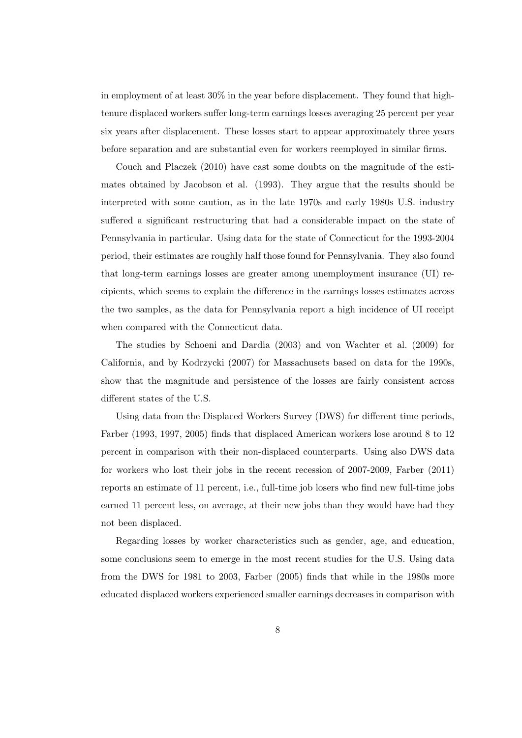in employment of at least 30% in the year before displacement. They found that hightenure displaced workers suffer long-term earnings losses averaging 25 percent per year six years after displacement. These losses start to appear approximately three years before separation and are substantial even for workers reemployed in similar firms.

Couch and Placzek (2010) have cast some doubts on the magnitude of the estimates obtained by Jacobson et al. (1993). They argue that the results should be interpreted with some caution, as in the late 1970s and early 1980s U.S. industry suffered a significant restructuring that had a considerable impact on the state of Pennsylvania in particular. Using data for the state of Connecticut for the 1993-2004 period, their estimates are roughly half those found for Pennsylvania. They also found that long-term earnings losses are greater among unemployment insurance (UI) recipients, which seems to explain the difference in the earnings losses estimates across the two samples, as the data for Pennsylvania report a high incidence of UI receipt when compared with the Connecticut data.

The studies by Schoeni and Dardia (2003) and von Wachter et al. (2009) for California, and by Kodrzycki (2007) for Massachusets based on data for the 1990s, show that the magnitude and persistence of the losses are fairly consistent across different states of the U.S.

Using data from the Displaced Workers Survey (DWS) for different time periods, Farber (1993, 1997, 2005) finds that displaced American workers lose around 8 to 12 percent in comparison with their non-displaced counterparts. Using also DWS data for workers who lost their jobs in the recent recession of 2007-2009, Farber (2011) reports an estimate of 11 percent, i.e., full-time job losers who find new full-time jobs earned 11 percent less, on average, at their new jobs than they would have had they not been displaced.

Regarding losses by worker characteristics such as gender, age, and education, some conclusions seem to emerge in the most recent studies for the U.S. Using data from the DWS for 1981 to 2003, Farber (2005) finds that while in the 1980s more educated displaced workers experienced smaller earnings decreases in comparison with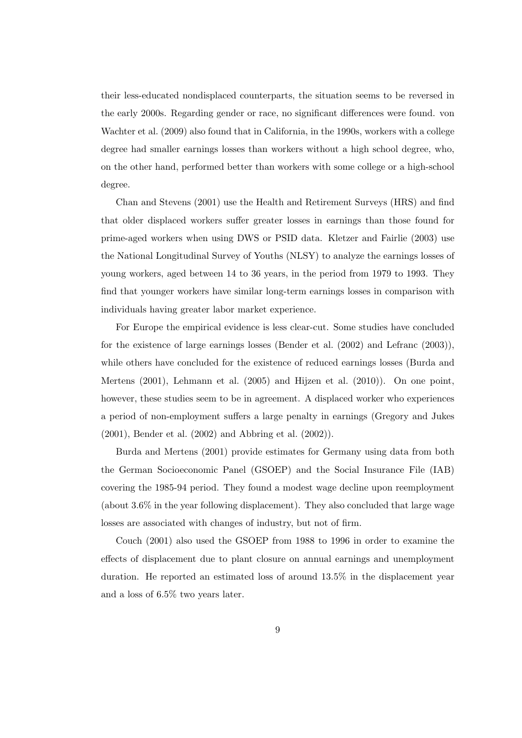their less-educated nondisplaced counterparts, the situation seems to be reversed in the early 2000s. Regarding gender or race, no significant differences were found. von Wachter et al. (2009) also found that in California, in the 1990s, workers with a college degree had smaller earnings losses than workers without a high school degree, who, on the other hand, performed better than workers with some college or a high-school degree.

Chan and Stevens (2001) use the Health and Retirement Surveys (HRS) and find that older displaced workers suffer greater losses in earnings than those found for prime-aged workers when using DWS or PSID data. Kletzer and Fairlie (2003) use the National Longitudinal Survey of Youths (NLSY) to analyze the earnings losses of young workers, aged between 14 to 36 years, in the period from 1979 to 1993. They find that younger workers have similar long-term earnings losses in comparison with individuals having greater labor market experience.

For Europe the empirical evidence is less clear-cut. Some studies have concluded for the existence of large earnings losses (Bender et al. (2002) and Lefranc (2003)), while others have concluded for the existence of reduced earnings losses (Burda and Mertens (2001), Lehmann et al. (2005) and Hijzen et al. (2010)). On one point, however, these studies seem to be in agreement. A displaced worker who experiences a period of non-employment suffers a large penalty in earnings (Gregory and Jukes (2001), Bender et al. (2002) and Abbring et al. (2002)).

Burda and Mertens (2001) provide estimates for Germany using data from both the German Socioeconomic Panel (GSOEP) and the Social Insurance File (IAB) covering the 1985-94 period. They found a modest wage decline upon reemployment (about 3.6% in the year following displacement). They also concluded that large wage losses are associated with changes of industry, but not of firm.

Couch (2001) also used the GSOEP from 1988 to 1996 in order to examine the effects of displacement due to plant closure on annual earnings and unemployment duration. He reported an estimated loss of around 13.5% in the displacement year and a loss of 6.5% two years later.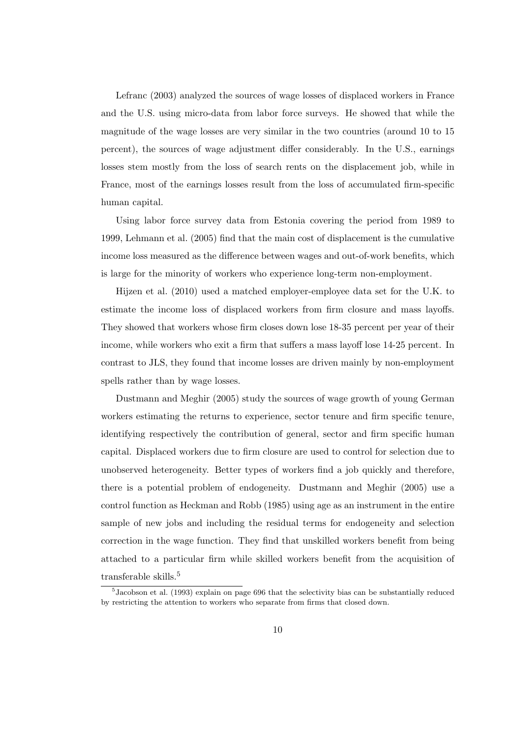Lefranc (2003) analyzed the sources of wage losses of displaced workers in France and the U.S. using micro-data from labor force surveys. He showed that while the magnitude of the wage losses are very similar in the two countries (around 10 to 15 percent), the sources of wage adjustment differ considerably. In the U.S., earnings losses stem mostly from the loss of search rents on the displacement job, while in France, most of the earnings losses result from the loss of accumulated firm-specific human capital.

Using labor force survey data from Estonia covering the period from 1989 to 1999, Lehmann et al. (2005) find that the main cost of displacement is the cumulative income loss measured as the difference between wages and out-of-work benefits, which is large for the minority of workers who experience long-term non-employment.

Hijzen et al. (2010) used a matched employer-employee data set for the U.K. to estimate the income loss of displaced workers from firm closure and mass layoffs. They showed that workers whose firm closes down lose 18-35 percent per year of their income, while workers who exit a firm that suffers a mass layoff lose 14-25 percent. In contrast to JLS, they found that income losses are driven mainly by non-employment spells rather than by wage losses.

Dustmann and Meghir (2005) study the sources of wage growth of young German workers estimating the returns to experience, sector tenure and firm specific tenure, identifying respectively the contribution of general, sector and firm specific human capital. Displaced workers due to firm closure are used to control for selection due to unobserved heterogeneity. Better types of workers find a job quickly and therefore, there is a potential problem of endogeneity. Dustmann and Meghir (2005) use a control function as Heckman and Robb (1985) using age as an instrument in the entire sample of new jobs and including the residual terms for endogeneity and selection correction in the wage function. They find that unskilled workers benefit from being attached to a particular firm while skilled workers benefit from the acquisition of transferable skills.<sup>5</sup>

<sup>&</sup>lt;sup>5</sup> Jacobson et al. (1993) explain on page 696 that the selectivity bias can be substantially reduced by restricting the attention to workers who separate from firms that closed down.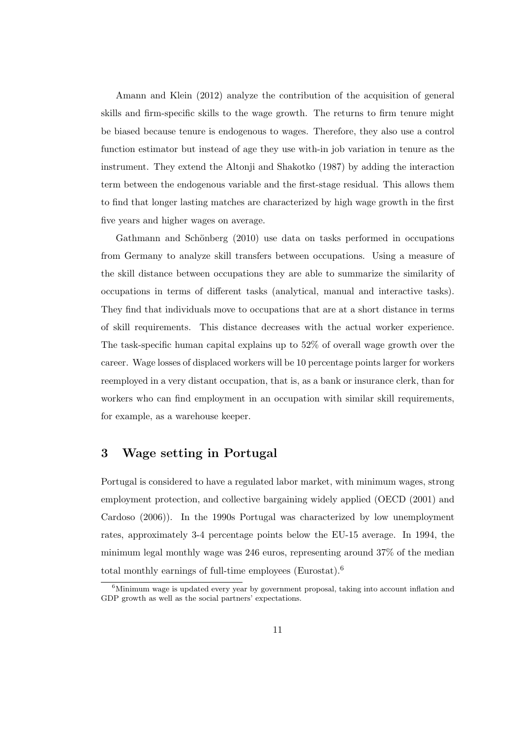Amann and Klein (2012) analyze the contribution of the acquisition of general skills and firm-specific skills to the wage growth. The returns to firm tenure might be biased because tenure is endogenous to wages. Therefore, they also use a control function estimator but instead of age they use with-in job variation in tenure as the instrument. They extend the Altonji and Shakotko (1987) by adding the interaction term between the endogenous variable and the first-stage residual. This allows them to find that longer lasting matches are characterized by high wage growth in the first five years and higher wages on average.

Gathmann and Schönberg  $(2010)$  use data on tasks performed in occupations from Germany to analyze skill transfers between occupations. Using a measure of the skill distance between occupations they are able to summarize the similarity of occupations in terms of different tasks (analytical, manual and interactive tasks). They find that individuals move to occupations that are at a short distance in terms of skill requirements. This distance decreases with the actual worker experience. The task-specific human capital explains up to 52% of overall wage growth over the career. Wage losses of displaced workers will be 10 percentage points larger for workers reemployed in a very distant occupation, that is, as a bank or insurance clerk, than for workers who can find employment in an occupation with similar skill requirements, for example, as a warehouse keeper.

## 3 Wage setting in Portugal

Portugal is considered to have a regulated labor market, with minimum wages, strong employment protection, and collective bargaining widely applied (OECD (2001) and Cardoso (2006)). In the 1990s Portugal was characterized by low unemployment rates, approximately 3-4 percentage points below the EU-15 average. In 1994, the minimum legal monthly wage was 246 euros, representing around 37% of the median total monthly earnings of full-time employees (Eurostat).<sup>6</sup>

 $6$ Minimum wage is updated every year by government proposal, taking into account inflation and GDP growth as well as the social partners' expectations.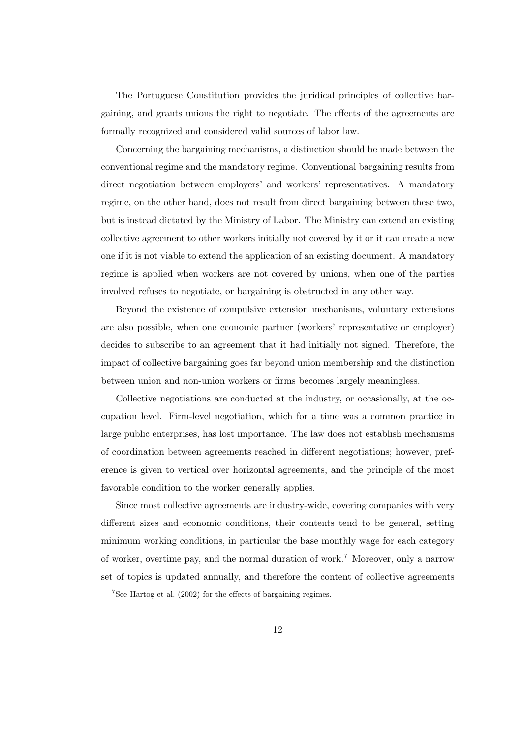The Portuguese Constitution provides the juridical principles of collective bargaining, and grants unions the right to negotiate. The effects of the agreements are formally recognized and considered valid sources of labor law.

Concerning the bargaining mechanisms, a distinction should be made between the conventional regime and the mandatory regime. Conventional bargaining results from direct negotiation between employers' and workers' representatives. A mandatory regime, on the other hand, does not result from direct bargaining between these two, but is instead dictated by the Ministry of Labor. The Ministry can extend an existing collective agreement to other workers initially not covered by it or it can create a new one if it is not viable to extend the application of an existing document. A mandatory regime is applied when workers are not covered by unions, when one of the parties involved refuses to negotiate, or bargaining is obstructed in any other way.

Beyond the existence of compulsive extension mechanisms, voluntary extensions are also possible, when one economic partner (workers' representative or employer) decides to subscribe to an agreement that it had initially not signed. Therefore, the impact of collective bargaining goes far beyond union membership and the distinction between union and non-union workers or firms becomes largely meaningless.

Collective negotiations are conducted at the industry, or occasionally, at the occupation level. Firm-level negotiation, which for a time was a common practice in large public enterprises, has lost importance. The law does not establish mechanisms of coordination between agreements reached in different negotiations; however, preference is given to vertical over horizontal agreements, and the principle of the most favorable condition to the worker generally applies.

Since most collective agreements are industry-wide, covering companies with very different sizes and economic conditions, their contents tend to be general, setting minimum working conditions, in particular the base monthly wage for each category of worker, overtime pay, and the normal duration of work.<sup>7</sup> Moreover, only a narrow set of topics is updated annually, and therefore the content of collective agreements

 $7$ See Hartog et al. (2002) for the effects of bargaining regimes.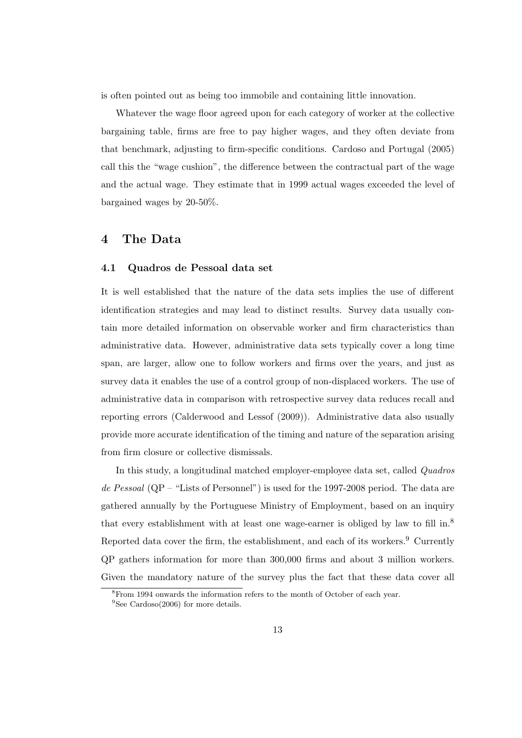is often pointed out as being too immobile and containing little innovation.

Whatever the wage floor agreed upon for each category of worker at the collective bargaining table, firms are free to pay higher wages, and they often deviate from that benchmark, adjusting to firm-specific conditions. Cardoso and Portugal (2005) call this the "wage cushion", the difference between the contractual part of the wage and the actual wage. They estimate that in 1999 actual wages exceeded the level of bargained wages by 20-50%.

## 4 The Data

#### 4.1 Quadros de Pessoal data set

It is well established that the nature of the data sets implies the use of different identification strategies and may lead to distinct results. Survey data usually contain more detailed information on observable worker and firm characteristics than administrative data. However, administrative data sets typically cover a long time span, are larger, allow one to follow workers and firms over the years, and just as survey data it enables the use of a control group of non-displaced workers. The use of administrative data in comparison with retrospective survey data reduces recall and reporting errors (Calderwood and Lessof (2009)). Administrative data also usually provide more accurate identification of the timing and nature of the separation arising from firm closure or collective dismissals.

In this study, a longitudinal matched employer-employee data set, called Quadros de Pessoal  $(QP - "Lists of Personal")$  is used for the 1997-2008 period. The data are gathered annually by the Portuguese Ministry of Employment, based on an inquiry that every establishment with at least one wage-earner is obliged by law to fill in.<sup>8</sup> Reported data cover the firm, the establishment, and each of its workers.<sup>9</sup> Currently QP gathers information for more than 300,000 firms and about 3 million workers. Given the mandatory nature of the survey plus the fact that these data cover all

 ${}^{8}\rm{From}$  1994 onwards the information refers to the month of October of each year.

 $9$ See Cardoso(2006) for more details.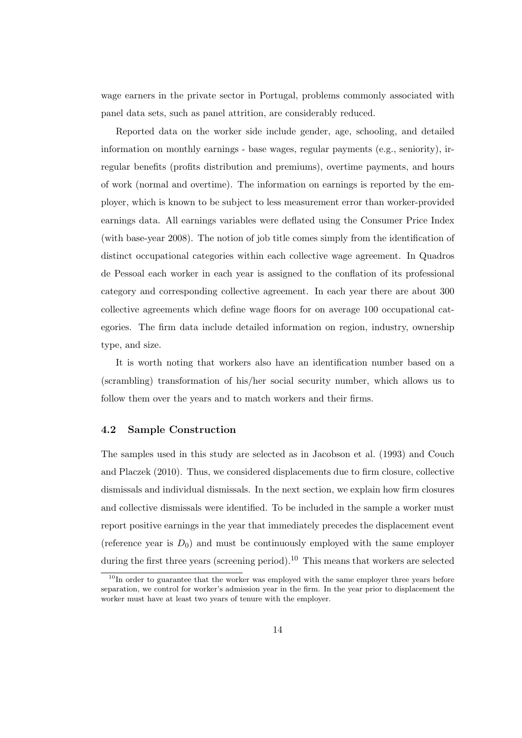wage earners in the private sector in Portugal, problems commonly associated with panel data sets, such as panel attrition, are considerably reduced.

Reported data on the worker side include gender, age, schooling, and detailed information on monthly earnings - base wages, regular payments (e.g., seniority), irregular benefits (profits distribution and premiums), overtime payments, and hours of work (normal and overtime). The information on earnings is reported by the employer, which is known to be subject to less measurement error than worker-provided earnings data. All earnings variables were deflated using the Consumer Price Index (with base-year 2008). The notion of job title comes simply from the identification of distinct occupational categories within each collective wage agreement. In Quadros de Pessoal each worker in each year is assigned to the conflation of its professional category and corresponding collective agreement. In each year there are about 300 collective agreements which define wage floors for on average 100 occupational categories. The firm data include detailed information on region, industry, ownership type, and size.

It is worth noting that workers also have an identification number based on a (scrambling) transformation of his/her social security number, which allows us to follow them over the years and to match workers and their firms.

### 4.2 Sample Construction

The samples used in this study are selected as in Jacobson et al. (1993) and Couch and Placzek (2010). Thus, we considered displacements due to firm closure, collective dismissals and individual dismissals. In the next section, we explain how firm closures and collective dismissals were identified. To be included in the sample a worker must report positive earnings in the year that immediately precedes the displacement event (reference year is  $D_0$ ) and must be continuously employed with the same employer during the first three years (screening period).<sup>10</sup> This means that workers are selected

<sup>&</sup>lt;sup>10</sup>In order to guarantee that the worker was employed with the same employer three years before separation, we control for worker's admission year in the firm. In the year prior to displacement the worker must have at least two years of tenure with the employer.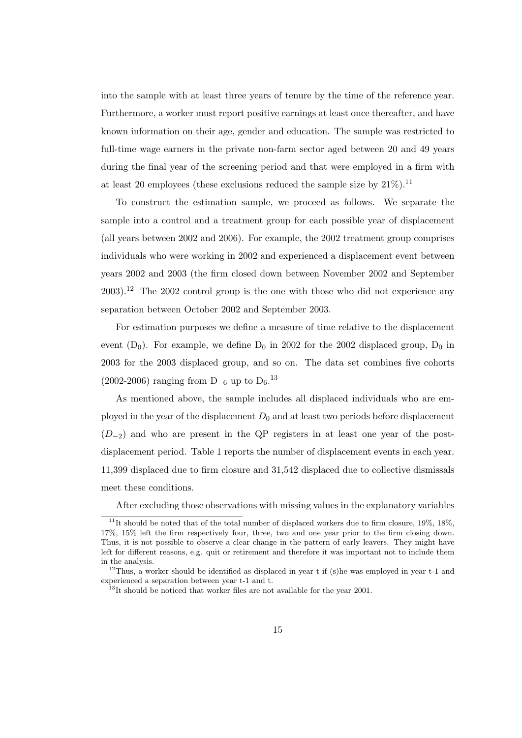into the sample with at least three years of tenure by the time of the reference year. Furthermore, a worker must report positive earnings at least once thereafter, and have known information on their age, gender and education. The sample was restricted to full-time wage earners in the private non-farm sector aged between 20 and 49 years during the final year of the screening period and that were employed in a firm with at least 20 employees (these exclusions reduced the sample size by  $21\%$ ).<sup>11</sup>

To construct the estimation sample, we proceed as follows. We separate the sample into a control and a treatment group for each possible year of displacement (all years between 2002 and 2006). For example, the 2002 treatment group comprises individuals who were working in 2002 and experienced a displacement event between years 2002 and 2003 (the firm closed down between November 2002 and September  $2003$ .<sup>12</sup> The 2002 control group is the one with those who did not experience any separation between October 2002 and September 2003.

For estimation purposes we define a measure of time relative to the displacement event  $(D_0)$ . For example, we define  $D_0$  in 2002 for the 2002 displaced group,  $D_0$  in 2003 for the 2003 displaced group, and so on. The data set combines five cohorts (2002-2006) ranging from D<sub>-6</sub> up to D<sub>6</sub>.<sup>13</sup>

As mentioned above, the sample includes all displaced individuals who are employed in the year of the displacement  $D_0$  and at least two periods before displacement  $(D_{-2})$  and who are present in the QP registers in at least one year of the postdisplacement period. Table 1 reports the number of displacement events in each year. 11,399 displaced due to firm closure and 31,542 displaced due to collective dismissals meet these conditions.

After excluding those observations with missing values in the explanatory variables

<sup>&</sup>lt;sup>11</sup>It should be noted that of the total number of displaced workers due to firm closure,  $19\%$ ,  $18\%$ , 17%, 15% left the firm respectively four, three, two and one year prior to the firm closing down. Thus, it is not possible to observe a clear change in the pattern of early leavers. They might have left for different reasons, e.g. quit or retirement and therefore it was important not to include them in the analysis.

<sup>&</sup>lt;sup>12</sup>Thus, a worker should be identified as displaced in year t if (s) he was employed in year t-1 and experienced a separation between year t-1 and t.

 $13$ It should be noticed that worker files are not available for the year 2001.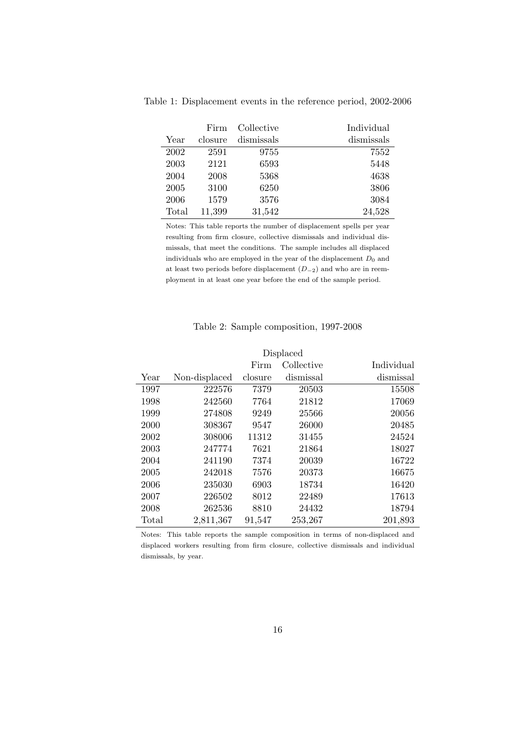|       | Firm    | Collective | Individual |
|-------|---------|------------|------------|
| Year  | closure | dismissals | dismissals |
| 2002  | 2591    | 9755       | 7552       |
| 2003  | 2121    | 6593       | 5448       |
| 2004  | 2008    | 5368       | 4638       |
| 2005  | 3100    | 6250       | 3806       |
| 2006  | 1579    | 3576       | 3084       |
| Total | 11,399  | 31,542     | 24,528     |

Table 1: Displacement events in the reference period, 2002-2006

Notes: This table reports the number of displacement spells per year resulting from firm closure, collective dismissals and individual dismissals, that meet the conditions. The sample includes all displaced individuals who are employed in the year of the displacement  $D_0$  and at least two periods before displacement (D−2) and who are in reemployment in at least one year before the end of the sample period.

#### Table 2: Sample composition, 1997-2008

## Displaced Firm Collective Individual Year Non-displaced closure dismissal dismissal 1997 222576 7379 20503 15508 1998 242560 7764 21812 17069 1999 274808 9249 25566 20056 2000 308367 9547 26000 20485 2002 308006 11312 31455 24524 2003 247774 7621 21864 18027 2004 241190 7374 20039 16722 2005 242018 7576 20373 16675 2006 235030 6903 18734 16420 2007 226502 8012 22489 17613 2008 262536 8810 24432 18794 Total 2,811,367 91,547 253,267 201,893

Notes: This table reports the sample composition in terms of non-displaced and displaced workers resulting from firm closure, collective dismissals and individual dismissals, by year.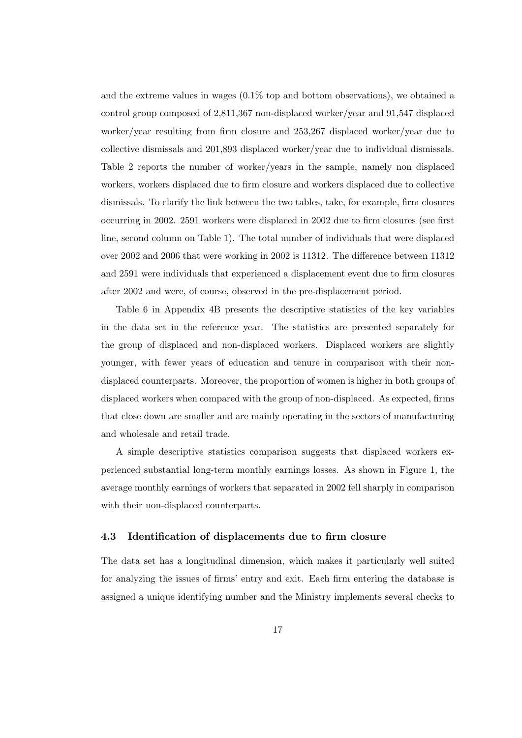and the extreme values in wages (0.1% top and bottom observations), we obtained a control group composed of 2,811,367 non-displaced worker/year and 91,547 displaced worker/year resulting from firm closure and 253,267 displaced worker/year due to collective dismissals and 201,893 displaced worker/year due to individual dismissals. Table 2 reports the number of worker/years in the sample, namely non displaced workers, workers displaced due to firm closure and workers displaced due to collective dismissals. To clarify the link between the two tables, take, for example, firm closures occurring in 2002. 2591 workers were displaced in 2002 due to firm closures (see first line, second column on Table 1). The total number of individuals that were displaced over 2002 and 2006 that were working in 2002 is 11312. The difference between 11312 and 2591 were individuals that experienced a displacement event due to firm closures after 2002 and were, of course, observed in the pre-displacement period.

Table 6 in Appendix 4B presents the descriptive statistics of the key variables in the data set in the reference year. The statistics are presented separately for the group of displaced and non-displaced workers. Displaced workers are slightly younger, with fewer years of education and tenure in comparison with their nondisplaced counterparts. Moreover, the proportion of women is higher in both groups of displaced workers when compared with the group of non-displaced. As expected, firms that close down are smaller and are mainly operating in the sectors of manufacturing and wholesale and retail trade.

A simple descriptive statistics comparison suggests that displaced workers experienced substantial long-term monthly earnings losses. As shown in Figure 1, the average monthly earnings of workers that separated in 2002 fell sharply in comparison with their non-displaced counterparts.

#### 4.3 Identification of displacements due to firm closure

The data set has a longitudinal dimension, which makes it particularly well suited for analyzing the issues of firms' entry and exit. Each firm entering the database is assigned a unique identifying number and the Ministry implements several checks to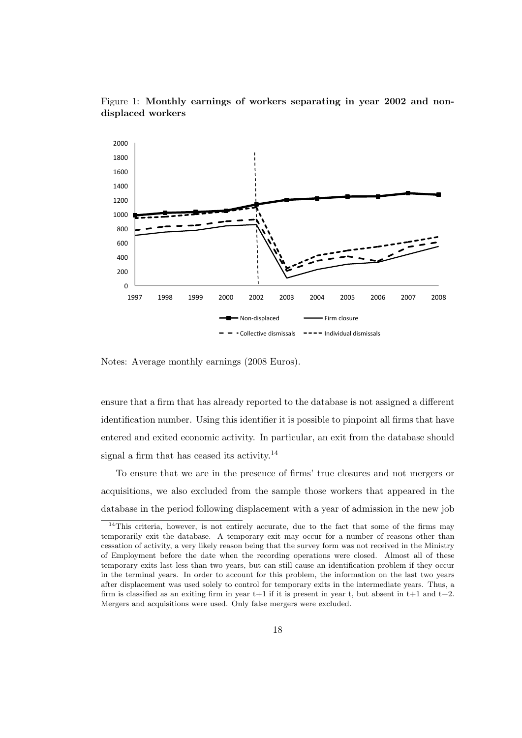

Figure 1: Monthly earnings of workers separating in year 2002 and nondisplaced workers

Notes: Average monthly earnings (2008 Euros).

ensure that a firm that has already reported to the database is not assigned a different identification number. Using this identifier it is possible to pinpoint all firms that have entered and exited economic activity. In particular, an exit from the database should signal a firm that has ceased its activity.<sup>14</sup>

To ensure that we are in the presence of firms' true closures and not mergers or acquisitions, we also excluded from the sample those workers that appeared in the database in the period following displacement with a year of admission in the new job

 $14$ This criteria, however, is not entirely accurate, due to the fact that some of the firms may temporarily exit the database. A temporary exit may occur for a number of reasons other than cessation of activity, a very likely reason being that the survey form was not received in the Ministry of Employment before the date when the recording operations were closed. Almost all of these temporary exits last less than two years, but can still cause an identification problem if they occur in the terminal years. In order to account for this problem, the information on the last two years after displacement was used solely to control for temporary exits in the intermediate years. Thus, a firm is classified as an exiting firm in year  $t+1$  if it is present in year t, but absent in  $t+1$  and  $t+2$ . Mergers and acquisitions were used. Only false mergers were excluded.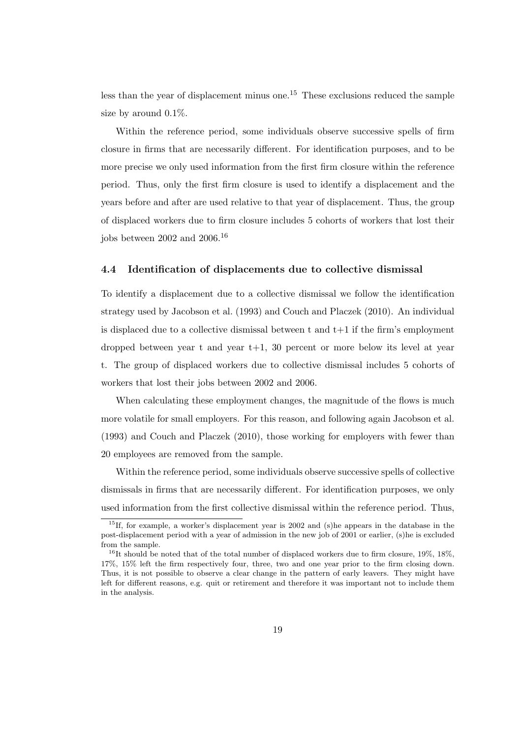less than the year of displacement minus one.<sup>15</sup> These exclusions reduced the sample size by around 0.1%.

Within the reference period, some individuals observe successive spells of firm closure in firms that are necessarily different. For identification purposes, and to be more precise we only used information from the first firm closure within the reference period. Thus, only the first firm closure is used to identify a displacement and the years before and after are used relative to that year of displacement. Thus, the group of displaced workers due to firm closure includes 5 cohorts of workers that lost their jobs between 2002 and 2006.<sup>16</sup>

#### 4.4 Identification of displacements due to collective dismissal

To identify a displacement due to a collective dismissal we follow the identification strategy used by Jacobson et al. (1993) and Couch and Placzek (2010). An individual is displaced due to a collective dismissal between  $t$  and  $t+1$  if the firm's employment dropped between year t and year t+1, 30 percent or more below its level at year t. The group of displaced workers due to collective dismissal includes 5 cohorts of workers that lost their jobs between 2002 and 2006.

When calculating these employment changes, the magnitude of the flows is much more volatile for small employers. For this reason, and following again Jacobson et al. (1993) and Couch and Placzek (2010), those working for employers with fewer than 20 employees are removed from the sample.

Within the reference period, some individuals observe successive spells of collective dismissals in firms that are necessarily different. For identification purposes, we only used information from the first collective dismissal within the reference period. Thus,

<sup>&</sup>lt;sup>15</sup>If, for example, a worker's displacement year is 2002 and (s)he appears in the database in the post-displacement period with a year of admission in the new job of 2001 or earlier, (s)he is excluded from the sample.

 $16$ <sup>16</sup>It should be noted that of the total number of displaced workers due to firm closure,  $19\%$ ,  $18\%$ , 17%, 15% left the firm respectively four, three, two and one year prior to the firm closing down. Thus, it is not possible to observe a clear change in the pattern of early leavers. They might have left for different reasons, e.g. quit or retirement and therefore it was important not to include them in the analysis.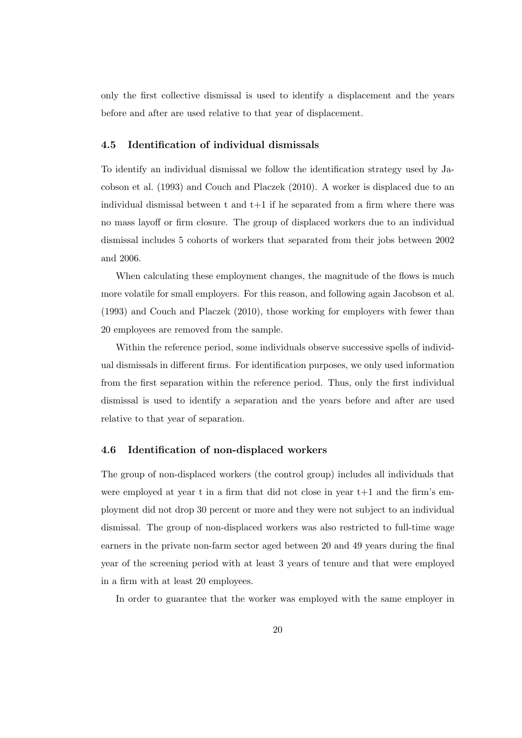only the first collective dismissal is used to identify a displacement and the years before and after are used relative to that year of displacement.

### 4.5 Identification of individual dismissals

To identify an individual dismissal we follow the identification strategy used by Jacobson et al. (1993) and Couch and Placzek (2010). A worker is displaced due to an individual dismissal between  $t$  and  $t+1$  if he separated from a firm where there was no mass layoff or firm closure. The group of displaced workers due to an individual dismissal includes 5 cohorts of workers that separated from their jobs between 2002 and 2006.

When calculating these employment changes, the magnitude of the flows is much more volatile for small employers. For this reason, and following again Jacobson et al. (1993) and Couch and Placzek (2010), those working for employers with fewer than 20 employees are removed from the sample.

Within the reference period, some individuals observe successive spells of individual dismissals in different firms. For identification purposes, we only used information from the first separation within the reference period. Thus, only the first individual dismissal is used to identify a separation and the years before and after are used relative to that year of separation.

#### 4.6 Identification of non-displaced workers

The group of non-displaced workers (the control group) includes all individuals that were employed at year t in a firm that did not close in year  $t+1$  and the firm's employment did not drop 30 percent or more and they were not subject to an individual dismissal. The group of non-displaced workers was also restricted to full-time wage earners in the private non-farm sector aged between 20 and 49 years during the final year of the screening period with at least 3 years of tenure and that were employed in a firm with at least 20 employees.

In order to guarantee that the worker was employed with the same employer in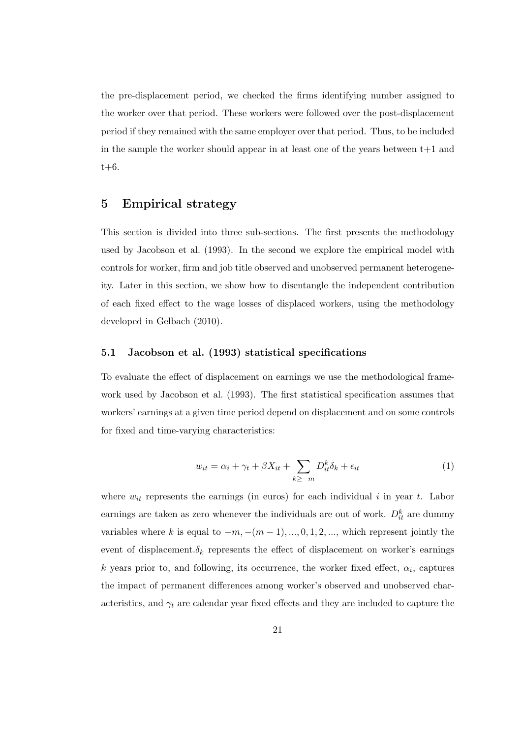the pre-displacement period, we checked the firms identifying number assigned to the worker over that period. These workers were followed over the post-displacement period if they remained with the same employer over that period. Thus, to be included in the sample the worker should appear in at least one of the years between  $t+1$  and t+6.

## 5 Empirical strategy

This section is divided into three sub-sections. The first presents the methodology used by Jacobson et al. (1993). In the second we explore the empirical model with controls for worker, firm and job title observed and unobserved permanent heterogeneity. Later in this section, we show how to disentangle the independent contribution of each fixed effect to the wage losses of displaced workers, using the methodology developed in Gelbach (2010).

### 5.1 Jacobson et al. (1993) statistical specifications

To evaluate the effect of displacement on earnings we use the methodological framework used by Jacobson et al. (1993). The first statistical specification assumes that workers' earnings at a given time period depend on displacement and on some controls for fixed and time-varying characteristics:

$$
w_{it} = \alpha_i + \gamma_t + \beta X_{it} + \sum_{k \ge -m} D_{it}^k \delta_k + \epsilon_{it}
$$
\n<sup>(1)</sup>

where  $w_{it}$  represents the earnings (in euros) for each individual i in year t. Labor earnings are taken as zero whenever the individuals are out of work.  $D_{it}^k$  are dummy variables where k is equal to  $-m$ ,  $-(m-1)$ , ..., 0, 1, 2, ..., which represent jointly the event of displacement. $\delta_k$  represents the effect of displacement on worker's earnings k years prior to, and following, its occurrence, the worker fixed effect,  $\alpha_i$ , captures the impact of permanent differences among worker's observed and unobserved characteristics, and  $\gamma_t$  are calendar year fixed effects and they are included to capture the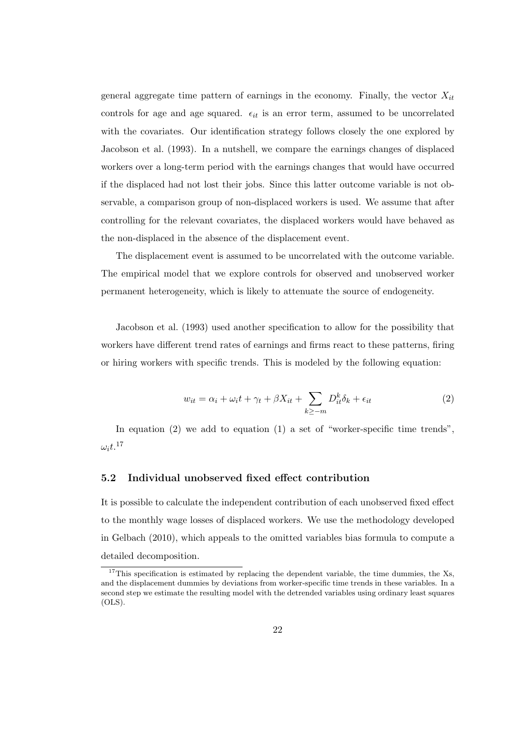general aggregate time pattern of earnings in the economy. Finally, the vector  $X_{it}$ controls for age and age squared.  $\epsilon_{it}$  is an error term, assumed to be uncorrelated with the covariates. Our identification strategy follows closely the one explored by Jacobson et al. (1993). In a nutshell, we compare the earnings changes of displaced workers over a long-term period with the earnings changes that would have occurred if the displaced had not lost their jobs. Since this latter outcome variable is not observable, a comparison group of non-displaced workers is used. We assume that after controlling for the relevant covariates, the displaced workers would have behaved as the non-displaced in the absence of the displacement event.

The displacement event is assumed to be uncorrelated with the outcome variable. The empirical model that we explore controls for observed and unobserved worker permanent heterogeneity, which is likely to attenuate the source of endogeneity.

Jacobson et al. (1993) used another specification to allow for the possibility that workers have different trend rates of earnings and firms react to these patterns, firing or hiring workers with specific trends. This is modeled by the following equation:

$$
w_{it} = \alpha_i + \omega_i t + \gamma_t + \beta X_{it} + \sum_{k \ge -m} D_{it}^k \delta_k + \epsilon_{it}
$$
 (2)

In equation (2) we add to equation (1) a set of "worker-specific time trends",  $\omega_i t$ .<sup>17</sup>

### 5.2 Individual unobserved fixed effect contribution

It is possible to calculate the independent contribution of each unobserved fixed effect to the monthly wage losses of displaced workers. We use the methodology developed in Gelbach (2010), which appeals to the omitted variables bias formula to compute a detailed decomposition.

<sup>&</sup>lt;sup>17</sup>This specification is estimated by replacing the dependent variable, the time dummies, the Xs, and the displacement dummies by deviations from worker-specific time trends in these variables. In a second step we estimate the resulting model with the detrended variables using ordinary least squares (OLS).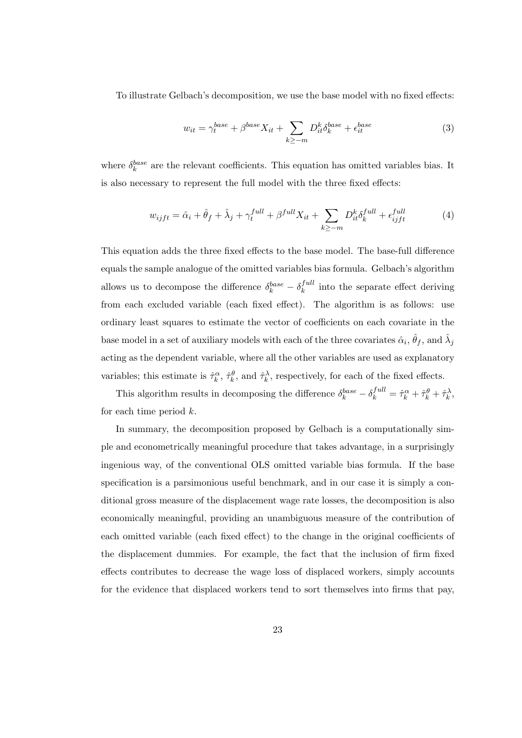To illustrate Gelbach's decomposition, we use the base model with no fixed effects:

$$
w_{it} = \gamma_t^{base} + \beta^{base} X_{it} + \sum_{k \ge -m} D_{it}^k \delta_k^{base} + \epsilon_{it}^{base}
$$
 (3)

where  $\delta_k^{base}$  are the relevant coefficients. This equation has omitted variables bias. It is also necessary to represent the full model with the three fixed effects:

$$
w_{ijft} = \hat{\alpha}_i + \hat{\theta}_f + \hat{\lambda}_j + \gamma_t^{full} + \beta^{full} X_{it} + \sum_{k \ge -m} D_{it}^k \delta_k^{full} + \epsilon_{ijft}^{full}
$$
 (4)

This equation adds the three fixed effects to the base model. The base-full difference equals the sample analogue of the omitted variables bias formula. Gelbach's algorithm allows us to decompose the difference  $\delta_k^{base} - \delta_k^{full}$  $k_k^{full}$  into the separate effect deriving from each excluded variable (each fixed effect). The algorithm is as follows: use ordinary least squares to estimate the vector of coefficients on each covariate in the base model in a set of auxiliary models with each of the three covariates  $\hat{\alpha}_i$ ,  $\hat{\theta}_f$ , and  $\hat{\lambda}_j$ acting as the dependent variable, where all the other variables are used as explanatory variables; this estimate is  $\hat{\tau}_k^{\alpha}$ ,  $\hat{\tau}_k^{\theta}$ , and  $\hat{\tau}_k^{\lambda}$ , respectively, for each of the fixed effects.

This algorithm results in decomposing the difference  $\delta_k^{base} - \delta_k^{full} = \hat{\tau}_k^{\alpha} + \hat{\tau}_k^{\beta} + \hat{\tau}_k^{\lambda}$ , for each time period  $k$ .

In summary, the decomposition proposed by Gelbach is a computationally simple and econometrically meaningful procedure that takes advantage, in a surprisingly ingenious way, of the conventional OLS omitted variable bias formula. If the base specification is a parsimonious useful benchmark, and in our case it is simply a conditional gross measure of the displacement wage rate losses, the decomposition is also economically meaningful, providing an unambiguous measure of the contribution of each omitted variable (each fixed effect) to the change in the original coefficients of the displacement dummies. For example, the fact that the inclusion of firm fixed effects contributes to decrease the wage loss of displaced workers, simply accounts for the evidence that displaced workers tend to sort themselves into firms that pay,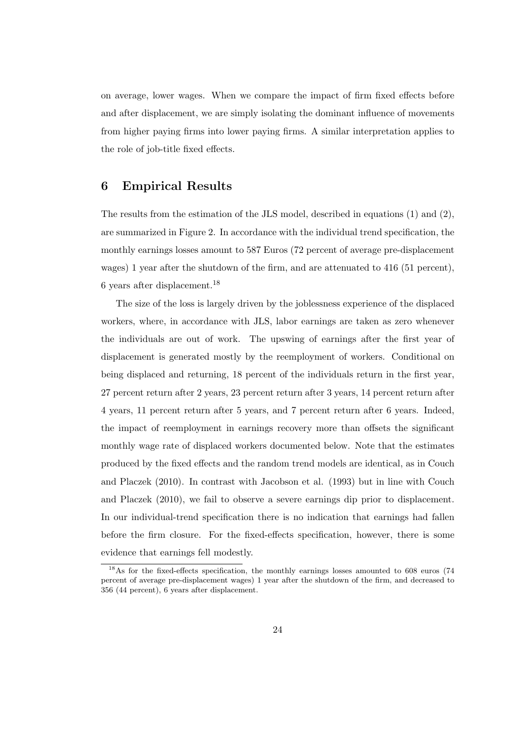on average, lower wages. When we compare the impact of firm fixed effects before and after displacement, we are simply isolating the dominant influence of movements from higher paying firms into lower paying firms. A similar interpretation applies to the role of job-title fixed effects.

## 6 Empirical Results

The results from the estimation of the JLS model, described in equations (1) and (2), are summarized in Figure 2. In accordance with the individual trend specification, the monthly earnings losses amount to 587 Euros (72 percent of average pre-displacement wages) 1 year after the shutdown of the firm, and are attenuated to 416 (51 percent), 6 years after displacement.<sup>18</sup>

The size of the loss is largely driven by the joblessness experience of the displaced workers, where, in accordance with JLS, labor earnings are taken as zero whenever the individuals are out of work. The upswing of earnings after the first year of displacement is generated mostly by the reemployment of workers. Conditional on being displaced and returning, 18 percent of the individuals return in the first year, 27 percent return after 2 years, 23 percent return after 3 years, 14 percent return after 4 years, 11 percent return after 5 years, and 7 percent return after 6 years. Indeed, the impact of reemployment in earnings recovery more than offsets the significant monthly wage rate of displaced workers documented below. Note that the estimates produced by the fixed effects and the random trend models are identical, as in Couch and Placzek (2010). In contrast with Jacobson et al. (1993) but in line with Couch and Placzek (2010), we fail to observe a severe earnings dip prior to displacement. In our individual-trend specification there is no indication that earnings had fallen before the firm closure. For the fixed-effects specification, however, there is some evidence that earnings fell modestly.

<sup>&</sup>lt;sup>18</sup>As for the fixed-effects specification, the monthly earnings losses amounted to 608 euros (74 percent of average pre-displacement wages) 1 year after the shutdown of the firm, and decreased to 356 (44 percent), 6 years after displacement.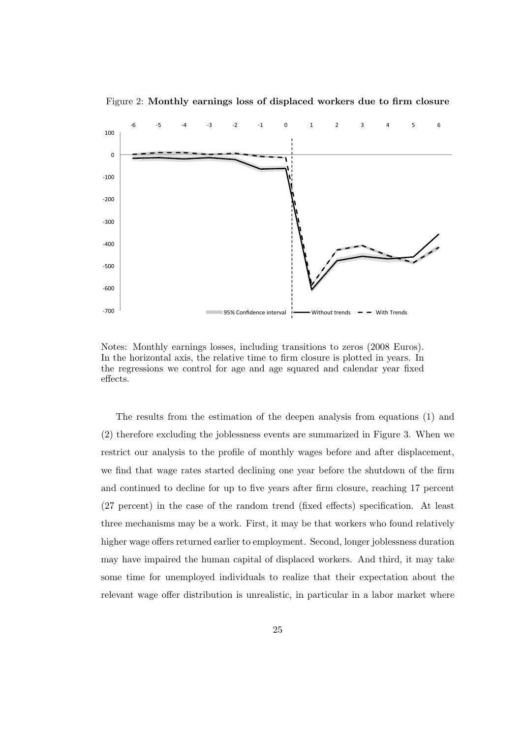

Figure 2: Monthly earnings loss of displaced workers due to firm closure

Notes: Monthly earnings losses, including transitions to zeros (2008 Euros). In the horizontal axis, the relative time to firm closure is plotted in years. In the regressions we control for age and age squared and calendar year fixed effects.

The results from the estimation of the deepen analysis from equations (1) and (2) therefore excluding the joblessness events are summarized in Figure 3. When we restrict our analysis to the profile of monthly wages before and after displacement, we find that wage rates started declining one year before the shutdown of the firm and continued to decline for up to five years after firm closure, reaching 17 percent (27 percent) in the case of the random trend (fixed effects) specification. At least three mechanisms may be a work. First, it may be that workers who found relatively higher wage offers returned earlier to employment. Second, longer joblessness duration may have impaired the human capital of displaced workers. And third, it may take some time for unemployed individuals to realize that their expectation about the relevant wage offer distribution is unrealistic, in particular in a labor market where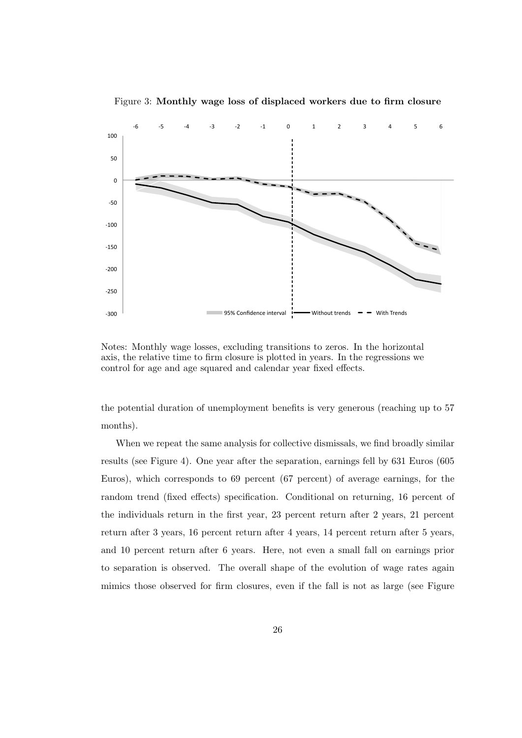

Figure 3: Monthly wage loss of displaced workers due to firm closure

Notes: Monthly wage losses, excluding transitions to zeros. In the horizontal axis, the relative time to firm closure is plotted in years. In the regressions we control for age and age squared and calendar year fixed effects.

the potential duration of unemployment benefits is very generous (reaching up to 57 months).

When we repeat the same analysis for collective dismissals, we find broadly similar results (see Figure 4). One year after the separation, earnings fell by 631 Euros (605 Euros), which corresponds to 69 percent (67 percent) of average earnings, for the random trend (fixed effects) specification. Conditional on returning, 16 percent of the individuals return in the first year, 23 percent return after 2 years, 21 percent return after 3 years, 16 percent return after 4 years, 14 percent return after 5 years, and 10 percent return after 6 years. Here, not even a small fall on earnings prior to separation is observed. The overall shape of the evolution of wage rates again mimics those observed for firm closures, even if the fall is not as large (see Figure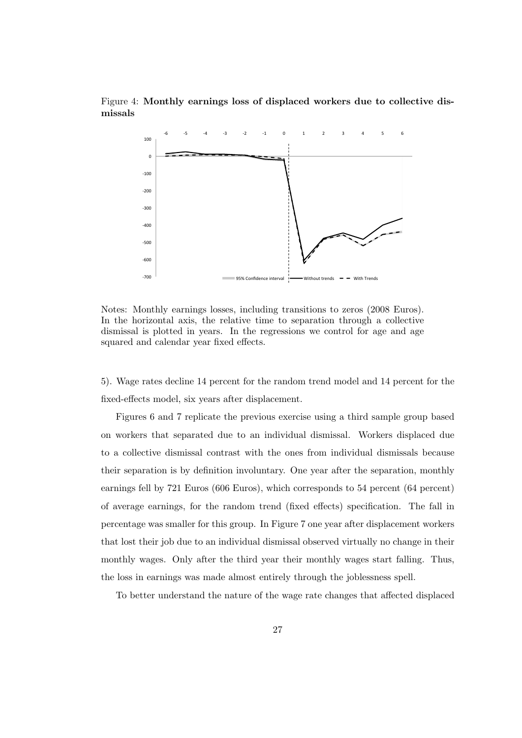## Figure 4: Monthly earnings loss of displaced workers due to collective dismissals



Notes: Monthly earnings losses, including transitions to zeros (2008 Euros). In the horizontal axis, the relative time to separation through a collective dismissal is plotted in years. In the regressions we control for age and age squared and calendar year fixed effects.

5). Wage rates decline 14 percent for the random trend model and 14 percent for the fixed-effects model, six years after displacement.

Figures 6 and 7 replicate the previous exercise using a third sample group based on workers that separated due to an individual dismissal. Workers displaced due to a collective dismissal contrast with the ones from individual dismissals because their separation is by definition involuntary. One year after the separation, monthly earnings fell by 721 Euros (606 Euros), which corresponds to 54 percent (64 percent) of average earnings, for the random trend (fixed effects) specification. The fall in percentage was smaller for this group. In Figure 7 one year after displacement workers that lost their job due to an individual dismissal observed virtually no change in their monthly wages. Only after the third year their monthly wages start falling. Thus, the loss in earnings was made almost entirely through the joblessness spell.

To better understand the nature of the wage rate changes that affected displaced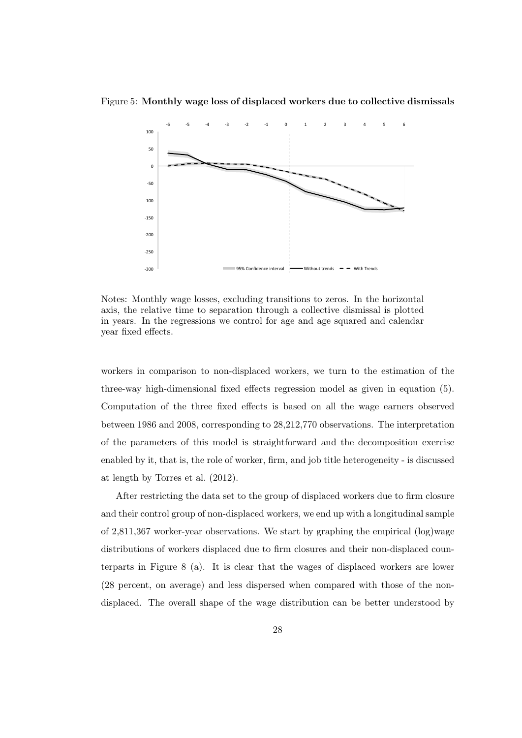Figure 5: Monthly wage loss of displaced workers due to collective dismissals



Notes: Monthly wage losses, excluding transitions to zeros. In the horizontal axis, the relative time to separation through a collective dismissal is plotted in years. In the regressions we control for age and age squared and calendar year fixed effects.

workers in comparison to non-displaced workers, we turn to the estimation of the three-way high-dimensional fixed effects regression model as given in equation (5). Computation of the three fixed effects is based on all the wage earners observed between 1986 and 2008, corresponding to 28,212,770 observations. The interpretation of the parameters of this model is straightforward and the decomposition exercise enabled by it, that is, the role of worker, firm, and job title heterogeneity - is discussed at length by Torres et al. (2012).

After restricting the data set to the group of displaced workers due to firm closure and their control group of non-displaced workers, we end up with a longitudinal sample of 2,811,367 worker-year observations. We start by graphing the empirical (log)wage distributions of workers displaced due to firm closures and their non-displaced counterparts in Figure 8 (a). It is clear that the wages of displaced workers are lower (28 percent, on average) and less dispersed when compared with those of the nondisplaced. The overall shape of the wage distribution can be better understood by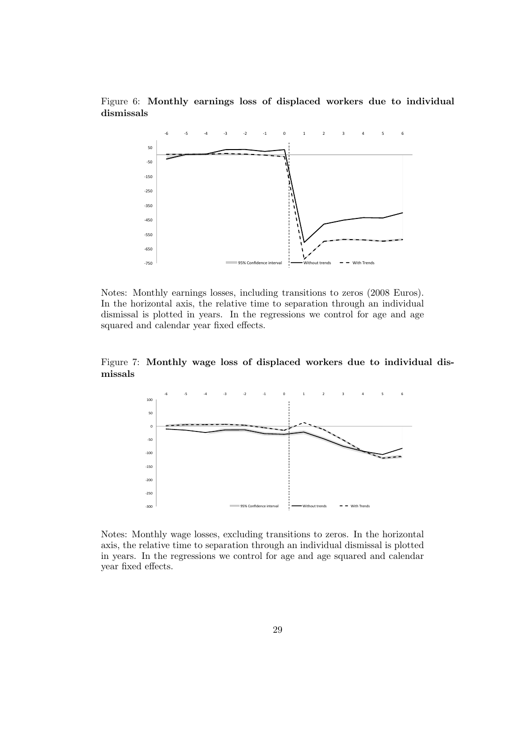Figure 6: Monthly earnings loss of displaced workers due to individual dismissals



Notes: Monthly earnings losses, including transitions to zeros (2008 Euros). In the horizontal axis, the relative time to separation through an individual dismissal is plotted in years. In the regressions we control for age and age squared and calendar year fixed effects.

Figure 7: Monthly wage loss of displaced workers due to individual dismissals



Notes: Monthly wage losses, excluding transitions to zeros. In the horizontal axis, the relative time to separation through an individual dismissal is plotted in years. In the regressions we control for age and age squared and calendar year fixed effects.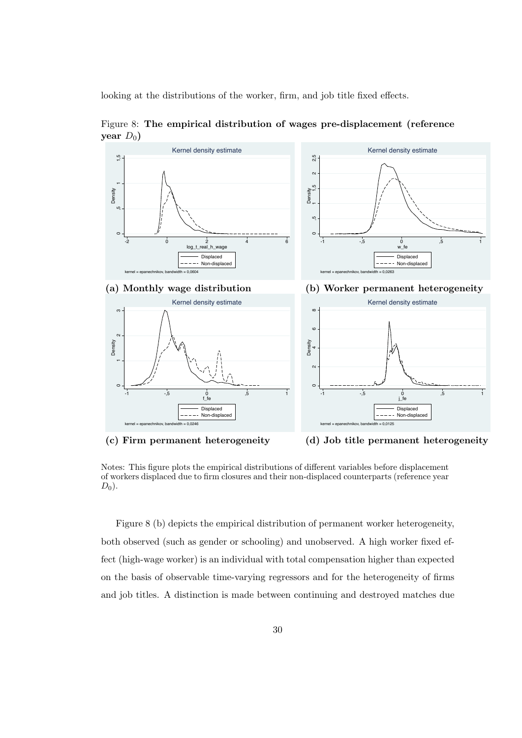looking at the distributions of the worker, firm, and job title fixed effects.



Figure 8: The empirical distribution of wages pre-displacement (reference year  $D_0$ )

(c) Firm permanent heterogeneity (d) Job title permanent heterogeneity

Notes: This figure plots the empirical distributions of different variables before displacement of workers displaced due to firm closures and their non-displaced counterparts (reference year  $D_0$ ).

Figure 8 (b) depicts the empirical distribution of permanent worker heterogeneity, both observed (such as gender or schooling) and unobserved. A high worker fixed effect (high-wage worker) is an individual with total compensation higher than expected on the basis of observable time-varying regressors and for the heterogeneity of firms and job titles. A distinction is made between continuing and destroyed matches due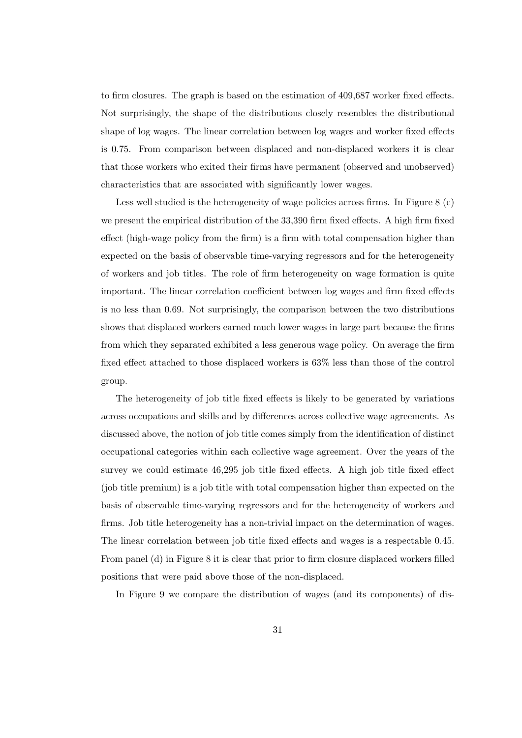to firm closures. The graph is based on the estimation of 409,687 worker fixed effects. Not surprisingly, the shape of the distributions closely resembles the distributional shape of log wages. The linear correlation between log wages and worker fixed effects is 0.75. From comparison between displaced and non-displaced workers it is clear that those workers who exited their firms have permanent (observed and unobserved) characteristics that are associated with significantly lower wages.

Less well studied is the heterogeneity of wage policies across firms. In Figure 8 (c) we present the empirical distribution of the 33,390 firm fixed effects. A high firm fixed effect (high-wage policy from the firm) is a firm with total compensation higher than expected on the basis of observable time-varying regressors and for the heterogeneity of workers and job titles. The role of firm heterogeneity on wage formation is quite important. The linear correlation coefficient between log wages and firm fixed effects is no less than 0.69. Not surprisingly, the comparison between the two distributions shows that displaced workers earned much lower wages in large part because the firms from which they separated exhibited a less generous wage policy. On average the firm fixed effect attached to those displaced workers is 63% less than those of the control group.

The heterogeneity of job title fixed effects is likely to be generated by variations across occupations and skills and by differences across collective wage agreements. As discussed above, the notion of job title comes simply from the identification of distinct occupational categories within each collective wage agreement. Over the years of the survey we could estimate 46,295 job title fixed effects. A high job title fixed effect (job title premium) is a job title with total compensation higher than expected on the basis of observable time-varying regressors and for the heterogeneity of workers and firms. Job title heterogeneity has a non-trivial impact on the determination of wages. The linear correlation between job title fixed effects and wages is a respectable 0.45. From panel (d) in Figure 8 it is clear that prior to firm closure displaced workers filled positions that were paid above those of the non-displaced.

In Figure 9 we compare the distribution of wages (and its components) of dis-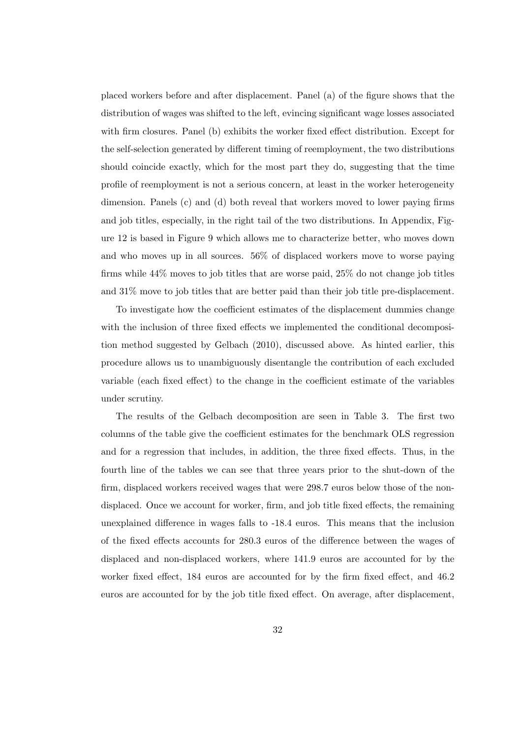placed workers before and after displacement. Panel (a) of the figure shows that the distribution of wages was shifted to the left, evincing significant wage losses associated with firm closures. Panel (b) exhibits the worker fixed effect distribution. Except for the self-selection generated by different timing of reemployment, the two distributions should coincide exactly, which for the most part they do, suggesting that the time profile of reemployment is not a serious concern, at least in the worker heterogeneity dimension. Panels (c) and (d) both reveal that workers moved to lower paying firms and job titles, especially, in the right tail of the two distributions. In Appendix, Figure 12 is based in Figure 9 which allows me to characterize better, who moves down and who moves up in all sources. 56% of displaced workers move to worse paying firms while 44% moves to job titles that are worse paid, 25% do not change job titles and 31% move to job titles that are better paid than their job title pre-displacement.

To investigate how the coefficient estimates of the displacement dummies change with the inclusion of three fixed effects we implemented the conditional decomposition method suggested by Gelbach (2010), discussed above. As hinted earlier, this procedure allows us to unambiguously disentangle the contribution of each excluded variable (each fixed effect) to the change in the coefficient estimate of the variables under scrutiny.

The results of the Gelbach decomposition are seen in Table 3. The first two columns of the table give the coefficient estimates for the benchmark OLS regression and for a regression that includes, in addition, the three fixed effects. Thus, in the fourth line of the tables we can see that three years prior to the shut-down of the firm, displaced workers received wages that were 298.7 euros below those of the nondisplaced. Once we account for worker, firm, and job title fixed effects, the remaining unexplained difference in wages falls to -18.4 euros. This means that the inclusion of the fixed effects accounts for 280.3 euros of the difference between the wages of displaced and non-displaced workers, where 141.9 euros are accounted for by the worker fixed effect, 184 euros are accounted for by the firm fixed effect, and 46.2 euros are accounted for by the job title fixed effect. On average, after displacement,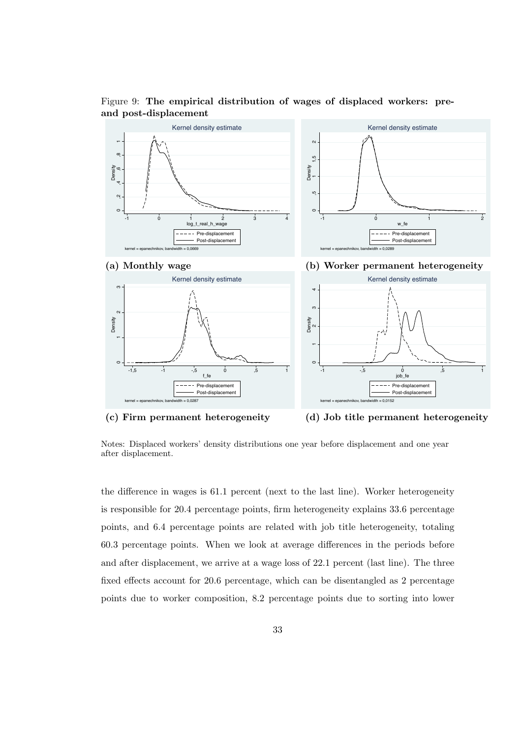

Figure 9: The empirical distribution of wages of displaced workers: preand post-displacement

(c) Firm permanent heterogeneity (d) Job title permanent heterogeneity

Notes: Displaced workers' density distributions one year before displacement and one year after displacement.

the difference in wages is 61.1 percent (next to the last line). Worker heterogeneity is responsible for 20.4 percentage points, firm heterogeneity explains 33.6 percentage points, and 6.4 percentage points are related with job title heterogeneity, totaling 60.3 percentage points. When we look at average differences in the periods before and after displacement, we arrive at a wage loss of 22.1 percent (last line). The three fixed effects account for 20.6 percentage, which can be disentangled as 2 percentage points due to worker composition, 8.2 percentage points due to sorting into lower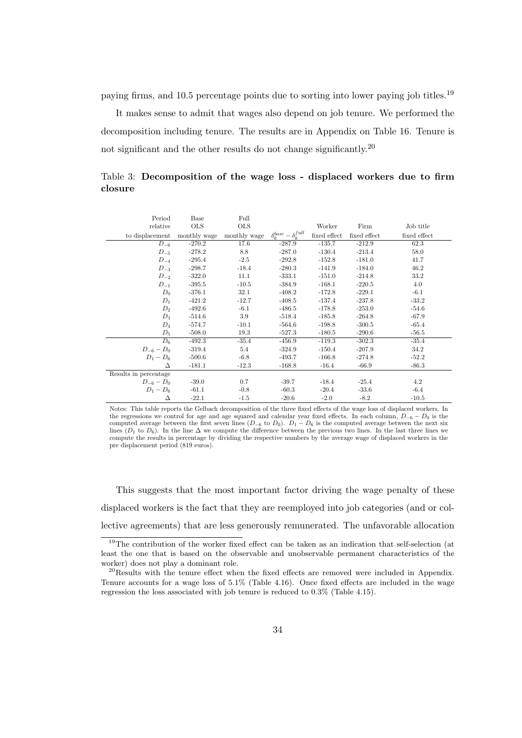paying firms, and 10.5 percentage points due to sorting into lower paying job titles.<sup>19</sup>

It makes sense to admit that wages also depend on job tenure. We performed the decomposition including tenure. The results are in Appendix on Table 16. Tenure is not significant and the other results do not change significantly.<sup>20</sup>

Table 3: Decomposition of the wage loss - displaced workers due to firm closure

| Period                                    | Base         | Full       |                                     |              |              |              |
|-------------------------------------------|--------------|------------|-------------------------------------|--------------|--------------|--------------|
| relative                                  | $_{\rm OLS}$ | <b>OLS</b> |                                     | Worker       | Firm         | Job title    |
| to displacement monthly wage monthly wage |              |            | $\delta_k^{base} - \delta_k^{full}$ | fixed effect | fixed effect | fixed effect |
| $D_{-6}$                                  | $-270.2$     | 17.6       | $-287.9$                            | $-135.7$     | $-212.9$     | 62.3         |
| $D_{-5}$                                  | $-278.2$     | 8.8        | -287.0                              | $-130.4$     | $-213.4$     | 58.0         |
| $D_{-4}$                                  | -295.4       | $-2.5$     | -292.8                              | $-152.8$     | $-181.0$     | 41.7         |
| $D_{-3}$                                  | $-298.7$     | $-18.4$    | $-280.3$                            | $-141.9$     | $-184.0$     | 46.2         |
| $D_{-2}$                                  | $-322.0$     | 11.1       | -333.1                              | $-151.0$     | $-214.8$     | 33.2         |
| $D_{-1}$                                  | $-395.5$     | $-10.5$    | -384.9                              | $-168.1$     | $-220.5$     | 4.0          |
| $D_0$                                     | $-376.1$     | 32.1       | -408.2                              | $-172.8$     | $-229.1$     | $-6.1$       |
| $D_1$                                     | $-421.2$     | $-12.7$    | $-408.5$                            | $-137.4$     | $-237.8$     | $-33.2$      |
| $D_2$                                     | $-492.6$     | $-6.1$     | -486.5                              | $-178.8$     | $-253.0$     | $-54.6$      |
| $D_3$                                     | $-514.6$     | 3.9        | $-518.4$                            | $-185.8$     | $-264.8$     | $-67.9$      |
| $D_4$                                     | $-574.7$     | $-10.1$    | $-564.6$                            | $-198.8$     | $-300.5$     | $-65.4$      |
| $D_5$                                     | $-508.0$     | 19.3       | $-527.3$                            | $-180.5$     | $-290.6$     | $-56.5$      |
| $D_6$                                     | $-492.3$     | $-35.4$    | $-456.9$                            | $-119.3$     | $-302.3$     | $-35.4$      |
| $D_{-6} - D_0$                            | $-319.4$     | 5.4        | $-324.9$                            | $-150.4$     | $-207.9$     | 34.2         |
| $D_1 - D_6$                               | $-500.6$     | $-6.8$     | $-493.7$                            | $-166.8$     | $-274.8$     | $-52.2$      |
| Δ                                         | $-181.1$     | $-12.3$    | $-168.8$                            | $-16.4$      | $-66.9$      | $-86.3$      |
| Results in percentage                     |              |            |                                     |              |              |              |
| $D_{-6} - D_0$                            | $-39.0$      | 0.7        | $-39.7$                             | $-18.4$      | $-25.4$      | 4.2          |
| $D_1 - D_6$                               | $-61.1$      | $-0.8$     | $-60.3$                             | $-20.4$      | $-33.6$      | $-6.4$       |
| Δ                                         | $-22.1$      | $-1.5$     | $-20.6$                             | $-2.0$       | $-8.2$       | $-10.5$      |

Notes: This table reports the Gelbach decomposition of the three fixed effects of the wage loss of displaced workers. In the regressions we control for age and age squared and calendar year fixed effects. In each column,  $D_{-6} - D_0$  is the computed average between the first seven lines  $(D_{-6}$  to  $D_0)$ .  $D_1 - D_6$  is the computed average between the next six lines  $(D_1$  to  $D_6$ ). In the line  $\Delta$  we compute the difference between the previous two lines. In the last three lines we compute the results in percentage by dividing the respective numbers by the average wage of displaced workers in the pre displacement period (819 euros).

This suggests that the most important factor driving the wage penalty of these displaced workers is the fact that they are reemployed into job categories (and or collective agreements) that are less generously remunerated. The unfavorable allocation

<sup>&</sup>lt;sup>19</sup>The contribution of the worker fixed effect can be taken as an indication that self-selection (at least the one that is based on the observable and unobservable permanent characteristics of the worker) does not play a dominant role.

 $^{20}$ Results with the tenure effect when the fixed effects are removed were included in Appendix. Tenure accounts for a wage loss of 5.1% (Table 4.16). Once fixed effects are included in the wage regression the loss associated with job tenure is reduced to 0.3% (Table 4.15).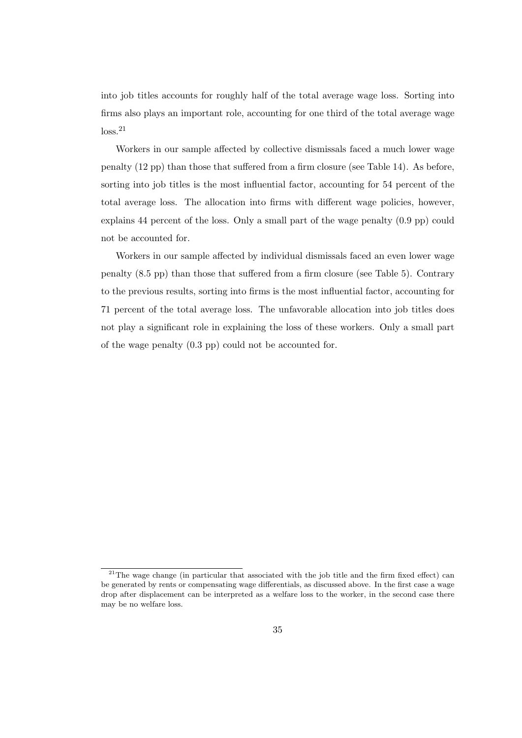into job titles accounts for roughly half of the total average wage loss. Sorting into firms also plays an important role, accounting for one third of the total average wage  $loss<sup>21</sup>$ 

Workers in our sample affected by collective dismissals faced a much lower wage penalty (12 pp) than those that suffered from a firm closure (see Table 14). As before, sorting into job titles is the most influential factor, accounting for 54 percent of the total average loss. The allocation into firms with different wage policies, however, explains 44 percent of the loss. Only a small part of the wage penalty (0.9 pp) could not be accounted for.

Workers in our sample affected by individual dismissals faced an even lower wage penalty (8.5 pp) than those that suffered from a firm closure (see Table 5). Contrary to the previous results, sorting into firms is the most influential factor, accounting for 71 percent of the total average loss. The unfavorable allocation into job titles does not play a significant role in explaining the loss of these workers. Only a small part of the wage penalty (0.3 pp) could not be accounted for.

 $21$ The wage change (in particular that associated with the job title and the firm fixed effect) can be generated by rents or compensating wage differentials, as discussed above. In the first case a wage drop after displacement can be interpreted as a welfare loss to the worker, in the second case there may be no welfare loss.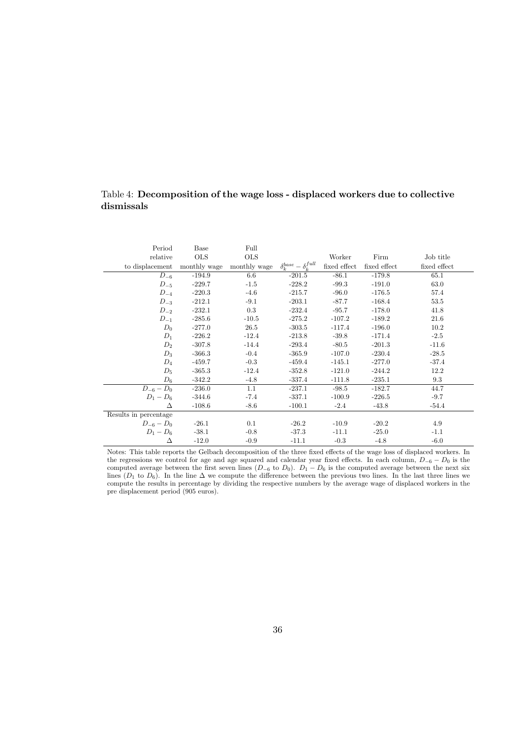## Table 4: Decomposition of the wage loss - displaced workers due to collective dismissals

| Period                                    | Base     | Full       |                                     |              |              |              |
|-------------------------------------------|----------|------------|-------------------------------------|--------------|--------------|--------------|
| relative                                  | OLS      | <b>OLS</b> |                                     | Worker       | Firm         | Job title    |
| to displacement monthly wage monthly wage |          |            | $\delta_k^{base} - \delta_k^{full}$ | fixed effect | fixed effect | fixed effect |
| $D_{-6}$                                  | $-194.9$ | 6.6        | $-201.5$                            | $-86.1$      | $-179.8$     | 65.1         |
| $D_{-5}$                                  | $-229.7$ | $-1.5$     | $-228.2$                            | $-99.3$      | $-191.0$     | 63.0         |
| $D_{-4}$                                  | $-220.3$ | $-4.6$     | $-215.7$                            | $-96.0$      | $-176.5$     | 57.4         |
| $D_{-3}$                                  | $-212.1$ | $-9.1$     | $-203.1$                            | $-87.7$      | $-168.4$     | 53.5         |
| $D_{-2}$                                  | $-232.1$ | 0.3        | $-232.4$                            | $-95.7$      | $-178.0$     | 41.8         |
| $D_{-1}$                                  | $-285.6$ | $-10.5$    | $-275.2$                            | $-107.2$     | $-189.2$     | 21.6         |
| $D_0$                                     | $-277.0$ | 26.5       | $-303.5$                            | $-117.4$     | $-196.0$     | 10.2         |
| $D_1$                                     | $-226.2$ | $-12.4$    | $-213.8$                            | $-39.8$      | $-171.4$     | $-2.5$       |
| $D_2$                                     | $-307.8$ | $-14.4$    | $-293.4$                            | $-80.5$      | $-201.3$     | $-11.6$      |
| $D_3$                                     | $-366.3$ | $-0.4$     | $-365.9$                            | $-107.0$     | $-230.4$     | $-28.5$      |
| $D_4$                                     | $-459.7$ | $-0.3$     | $-459.4$                            | $-145.1$     | $-277.0$     | $-37.4$      |
| $D_5$                                     | $-365.3$ | $-12.4$    | $-352.8$                            | $-121.0$     | $-244.2$     | 12.2         |
| $D_6$                                     | $-342.2$ | $-4.8$     | $-337.4$                            | $-111.8$     | $-235.1$     | 9.3          |
| $D_{-6} - D_0$                            | $-236.0$ | 1.1        | $-237.1$                            | $-98.5$      | $-182.7$     | 44.7         |
| $D_1 - D_6$                               | $-344.6$ | $-7.4$     | $-337.1$                            | $-100.9$     | $-226.5$     | $-9.7$       |
| Δ                                         | $-108.6$ | $-8.6$     | $-100.1$                            | $-2.4$       | $-43.8$      | $-54.4$      |
| Results in percentage                     |          |            |                                     |              |              |              |
| $D_{-6} - D_0$                            | $-26.1$  | 0.1        | $-26.2$                             | $-10.9$      | $-20.2$      | 4.9          |
| $D_1 - D_6$                               | $-38.1$  | $-0.8$     | $-37.3$                             | $-11.1$      | $-25.0$      | $-1.1$       |
| Δ                                         | $-12.0$  | $-0.9$     | $-11.1$                             | $-0.3$       | $-4.8$       | $-6.0$       |

Notes: This table reports the Gelbach decomposition of the three fixed effects of the wage loss of displaced workers. In the regressions we control for age and age squared and calendar year fixed effects. In each column,  $D_{-6} - D_0$  is the computed average between the first seven lines  $(D_{-6}$  to  $D_0$ ).  $D_1 - D_6$  is the computed average between the next six lines ( $D_1$  to  $D_6$ ). In the line  $\Delta$  we compute the difference between the previous two lines. In the last three lines we compute the results in percentage by dividing the respective numbers by the average wage of displaced workers in the pre displacement period (905 euros).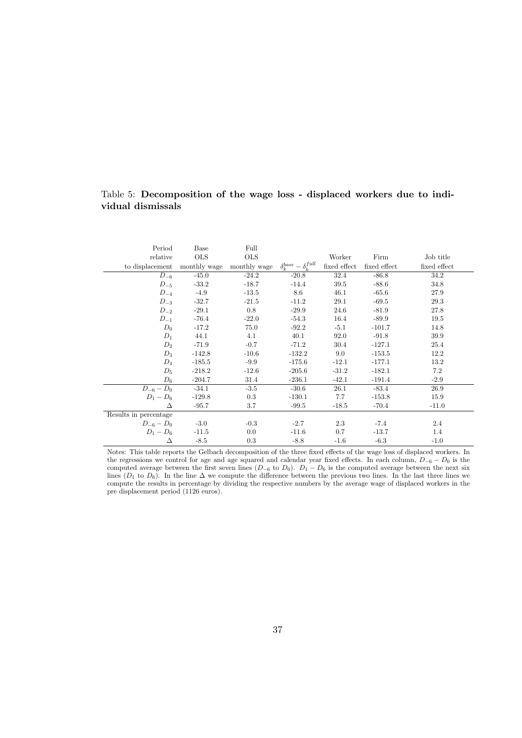## Table 5: Decomposition of the wage loss - displaced workers due to individual dismissals

| Period                                    | Base         | Full       |                                     |              |              |              |
|-------------------------------------------|--------------|------------|-------------------------------------|--------------|--------------|--------------|
| relative                                  | $_{\rm OLS}$ | <b>OLS</b> |                                     | Worker       | Firm         | Job title    |
| to displacement monthly wage monthly wage |              |            | $\delta_k^{base} - \delta_k^{full}$ | fixed effect | fixed effect | fixed effect |
| $D_{-6}$                                  | $-45.0$      | $-24.2$    | $-20.8$                             | 32.4         | $-86.8$      | 34.2         |
| $D_{-5}$                                  | $-33.2$      | $-18.7$    | $-14.4$                             | 39.5         | $-88.6$      | 34.8         |
| $D_{-4}$                                  | $-4.9$       | $-13.5$    | 8.6                                 | 46.1         | $-65.6$      | 27.9         |
| $D_{-3}$                                  | $-32.7$      | $-21.5$    | $-11.2$                             | 29.1         | $-69.5$      | 29.3         |
| $D_{-2}$                                  | $-29.1$      | 0.8        | $-29.9$                             | 24.6         | $-81.9$      | 27.8         |
| $D_{-1}$                                  | $-76.4$      | $-22.0$    | $-54.3$                             | 16.4         | $-89.9$      | 19.5         |
| $D_0$                                     | $-17.2$      | 75.0       | $-92.2$                             | $-5.1$       | $-101.7$     | 14.8         |
| $D_1$                                     | 44.1         | 4.1        | 40.1                                | 92.0         | $-91.8$      | 39.9         |
| $D_2$                                     | -71.9        | $-0.7$     | $-71.2$                             | 30.4         | $-127.1$     | 25.4         |
| $D_3$                                     | $-142.8$     | $-10.6$    | $-132.2$                            | 9.0          | $-153.5$     | 12.2         |
| $D_4$                                     | $-185.5$     | $-9.9$     | $-175.6$                            | $-12.1$      | $-177.1$     | 13.2         |
| $D_5$                                     | $-218.2$     | $-12.6$    | $-205.6$                            | $-31.2$      | $-182.1$     | 7.2          |
| $D_6$                                     | $-204.7$     | 31.4       | $-236.1$                            | $-42.1$      | $-191.4$     | $-2.9$       |
| $D_{-6} - D_0$ -34.1                      |              | $-3.5$     | $-30.6$                             | 26.1         | $-83.4$      | 26.9         |
| $D_1 - D_6$                               | $-129.8$     | 0.3        | $-130.1$                            | 7.7          | $-153.8$     | 15.9         |
| Δ                                         | $-95.7$      | 3.7        | $-99.5$                             | $-18.5$      | $-70.4$      | $-11.0$      |
| Results in percentage                     |              |            |                                     |              |              |              |
| $D_{-6} - D_0$                            | $-3.0$       | $-0.3$     | $-2.7$                              | 2.3          | $-7.4$       | 2.4          |
| $D_1 - D_6$                               | $-11.5$      | $0.0\,$    | $-11.6$                             | 0.7          | $-13.7$      | 1.4          |
| Δ                                         | $-8.5$       | 0.3        | $-8.8$                              | $-1.6$       | $-6.3$       | $-1.0$       |

Notes: This table reports the Gelbach decomposition of the three fixed effects of the wage loss of displaced workers. In the regressions we control for age and age squared and calendar year fixed effects. In each column,  $D_{-6} - D_0$  is the computed average between the first seven lines  $(D_{-6}$  to  $D_0$ ).  $D_1 - D_6$  is the computed average between the next six lines ( $D_1$  to  $D_6$ ). In the line  $\Delta$  we compute the difference between the previous two lines. In the last three lines we compute the results in percentage by dividing the respective numbers by the average wage of displaced workers in the pre displacement period (1126 euros).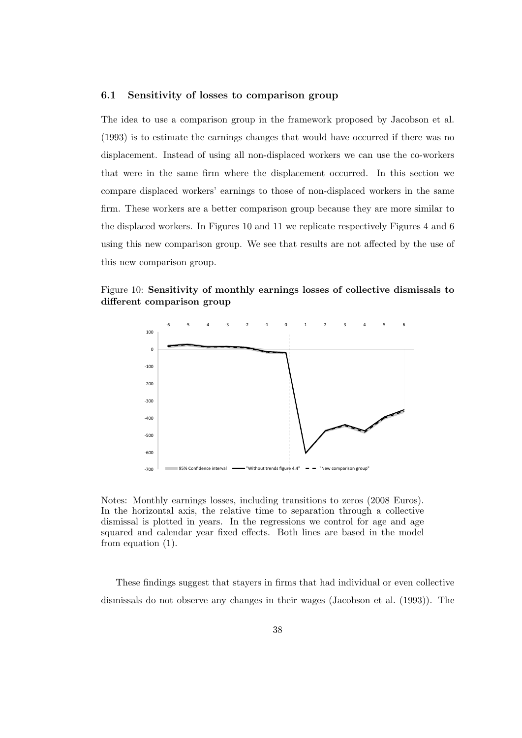### 6.1 Sensitivity of losses to comparison group

The idea to use a comparison group in the framework proposed by Jacobson et al. (1993) is to estimate the earnings changes that would have occurred if there was no displacement. Instead of using all non-displaced workers we can use the co-workers that were in the same firm where the displacement occurred. In this section we compare displaced workers' earnings to those of non-displaced workers in the same firm. These workers are a better comparison group because they are more similar to the displaced workers. In Figures 10 and 11 we replicate respectively Figures 4 and 6 using this new comparison group. We see that results are not affected by the use of this new comparison group.

### Figure 10: Sensitivity of monthly earnings losses of collective dismissals to different comparison group



Notes: Monthly earnings losses, including transitions to zeros (2008 Euros). In the horizontal axis, the relative time to separation through a collective dismissal is plotted in years. In the regressions we control for age and age squared and calendar year fixed effects. Both lines are based in the model from equation (1).

These findings suggest that stayers in firms that had individual or even collective dismissals do not observe any changes in their wages (Jacobson et al. (1993)). The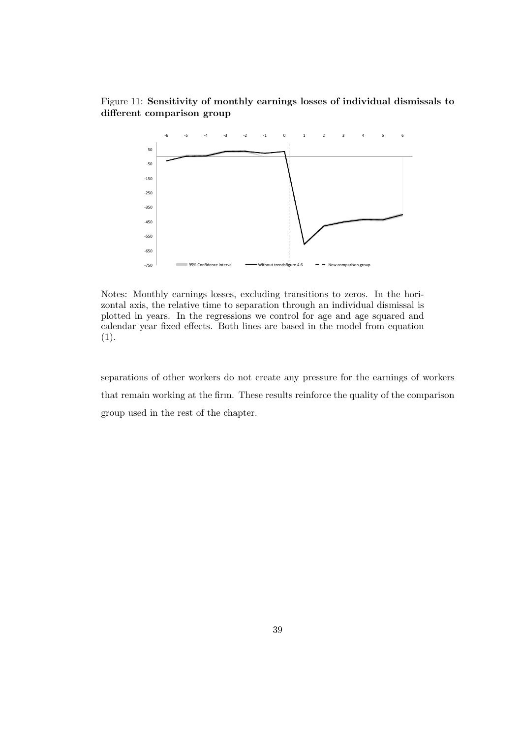## Figure 11: Sensitivity of monthly earnings losses of individual dismissals to different comparison group



Notes: Monthly earnings losses, excluding transitions to zeros. In the horizontal axis, the relative time to separation through an individual dismissal is plotted in years. In the regressions we control for age and age squared and calendar year fixed effects. Both lines are based in the model from equation (1).

separations of other workers do not create any pressure for the earnings of workers that remain working at the firm. These results reinforce the quality of the comparison group used in the rest of the chapter.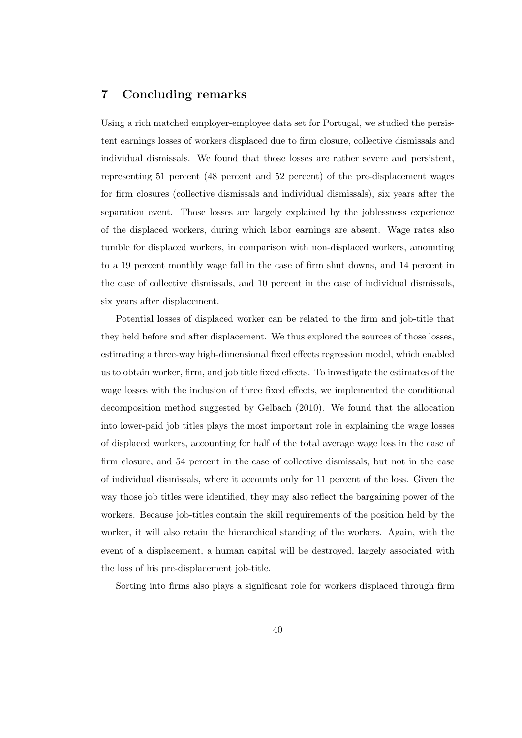# 7 Concluding remarks

Using a rich matched employer-employee data set for Portugal, we studied the persistent earnings losses of workers displaced due to firm closure, collective dismissals and individual dismissals. We found that those losses are rather severe and persistent, representing 51 percent (48 percent and 52 percent) of the pre-displacement wages for firm closures (collective dismissals and individual dismissals), six years after the separation event. Those losses are largely explained by the joblessness experience of the displaced workers, during which labor earnings are absent. Wage rates also tumble for displaced workers, in comparison with non-displaced workers, amounting to a 19 percent monthly wage fall in the case of firm shut downs, and 14 percent in the case of collective dismissals, and 10 percent in the case of individual dismissals, six years after displacement.

Potential losses of displaced worker can be related to the firm and job-title that they held before and after displacement. We thus explored the sources of those losses, estimating a three-way high-dimensional fixed effects regression model, which enabled us to obtain worker, firm, and job title fixed effects. To investigate the estimates of the wage losses with the inclusion of three fixed effects, we implemented the conditional decomposition method suggested by Gelbach (2010). We found that the allocation into lower-paid job titles plays the most important role in explaining the wage losses of displaced workers, accounting for half of the total average wage loss in the case of firm closure, and 54 percent in the case of collective dismissals, but not in the case of individual dismissals, where it accounts only for 11 percent of the loss. Given the way those job titles were identified, they may also reflect the bargaining power of the workers. Because job-titles contain the skill requirements of the position held by the worker, it will also retain the hierarchical standing of the workers. Again, with the event of a displacement, a human capital will be destroyed, largely associated with the loss of his pre-displacement job-title.

Sorting into firms also plays a significant role for workers displaced through firm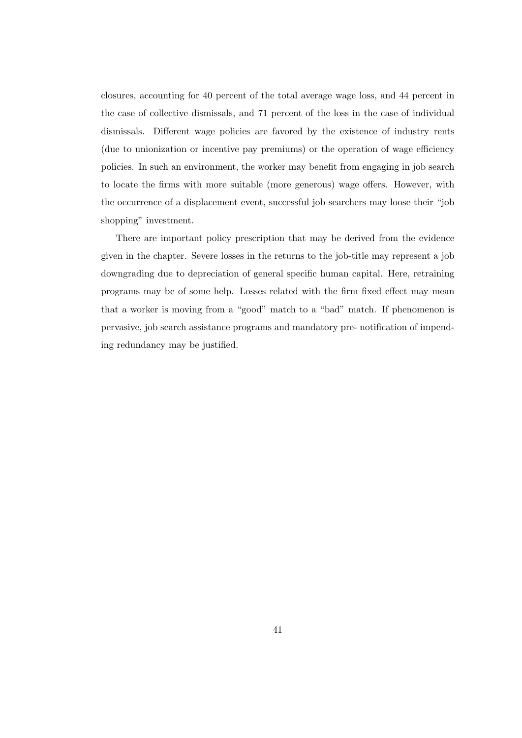closures, accounting for 40 percent of the total average wage loss, and 44 percent in the case of collective dismissals, and 71 percent of the loss in the case of individual dismissals. Different wage policies are favored by the existence of industry rents (due to unionization or incentive pay premiums) or the operation of wage efficiency policies. In such an environment, the worker may benefit from engaging in job search to locate the firms with more suitable (more generous) wage offers. However, with the occurrence of a displacement event, successful job searchers may loose their "job shopping" investment.

There are important policy prescription that may be derived from the evidence given in the chapter. Severe losses in the returns to the job-title may represent a job downgrading due to depreciation of general specific human capital. Here, retraining programs may be of some help. Losses related with the firm fixed effect may mean that a worker is moving from a "good" match to a "bad" match. If phenomenon is pervasive, job search assistance programs and mandatory pre- notification of impending redundancy may be justified.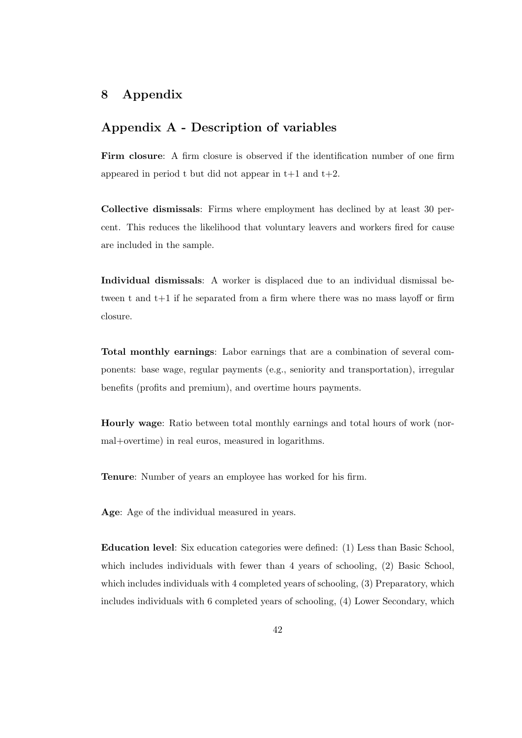# 8 Appendix

## Appendix A - Description of variables

Firm closure: A firm closure is observed if the identification number of one firm appeared in period t but did not appear in  $t+1$  and  $t+2$ .

Collective dismissals: Firms where employment has declined by at least 30 percent. This reduces the likelihood that voluntary leavers and workers fired for cause are included in the sample.

Individual dismissals: A worker is displaced due to an individual dismissal between t and t+1 if he separated from a firm where there was no mass layoff or firm closure.

Total monthly earnings: Labor earnings that are a combination of several components: base wage, regular payments (e.g., seniority and transportation), irregular benefits (profits and premium), and overtime hours payments.

Hourly wage: Ratio between total monthly earnings and total hours of work (normal+overtime) in real euros, measured in logarithms.

Tenure: Number of years an employee has worked for his firm.

Age: Age of the individual measured in years.

Education level: Six education categories were defined: (1) Less than Basic School, which includes individuals with fewer than 4 years of schooling,  $(2)$  Basic School, which includes individuals with 4 completed years of schooling,  $(3)$  Preparatory, which includes individuals with 6 completed years of schooling, (4) Lower Secondary, which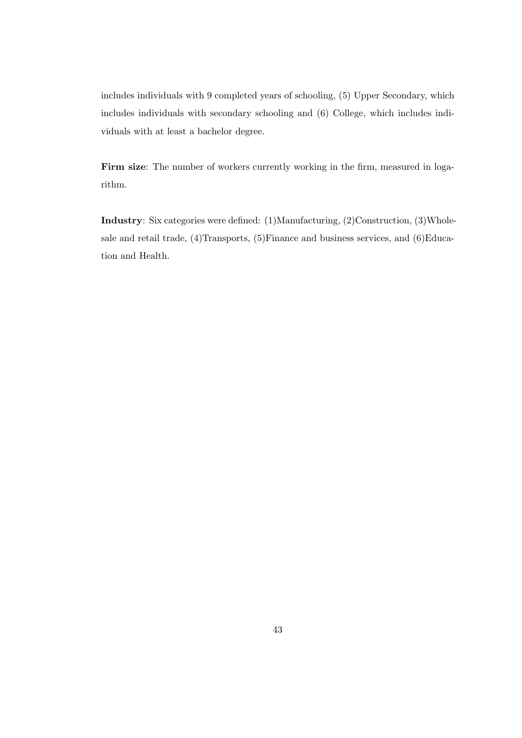includes individuals with 9 completed years of schooling, (5) Upper Secondary, which includes individuals with secondary schooling and (6) College, which includes individuals with at least a bachelor degree.

Firm size: The number of workers currently working in the firm, measured in logarithm.

Industry: Six categories were defined: (1)Manufacturing, (2)Construction, (3)Wholesale and retail trade, (4)Transports, (5)Finance and business services, and (6)Education and Health.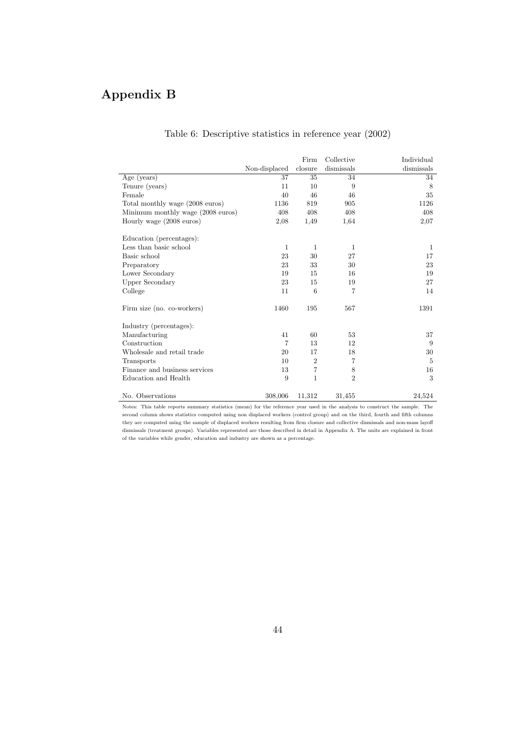# Appendix B

|                                   |               | Firm           | Collective     | Individual     |
|-----------------------------------|---------------|----------------|----------------|----------------|
|                                   | Non-displaced | closure        | dismissals     | dismissals     |
| Age (years)                       | 37            | 35             | 34             | 34             |
| Tenure (years)                    | 11            | 10             | 9              | 8              |
| Female                            | 40            | 46             | 46             | 35             |
| Total monthly wage (2008 euros)   | 1136          | 819            | 905            | 1126           |
| Minimum monthly wage (2008 euros) | 408           | 408            | 408            | 408            |
| Hourly wage (2008 euros)          | 2,08          | 1.49           | 1,64           | 2,07           |
| Education (percentages):          |               |                |                |                |
| Less than basic school            | $\mathbf{1}$  | $\mathbf{1}$   | 1              | 1              |
| Basic school                      | 23            | 30             | 27             | 17             |
| Preparatory                       | 23            | 33             | 30             | 23             |
| Lower Secondary                   | 19            | 15             | 16             | 19             |
| Upper Secondary                   | 23            | 15             | 19             | 27             |
| College                           | 11            | 6              | 7              | 14             |
| Firm size (no. co-workers)        | 1460          | 195            | 567            | 1391           |
| Industry (percentages):           |               |                |                |                |
| Manufacturing                     | 41            | 60             | 53             | 37             |
| Construction                      | 7             | 13             | 12             | 9              |
| Wholesale and retail trade        | 20            | 17             | 18             | 30             |
| Transports                        | 10            | $\overline{2}$ | 7              | $\overline{5}$ |
| Finance and business services     | 13            | 7              | 8              | 16             |
| Education and Health              | 9             | $\mathbf{1}$   | $\overline{2}$ | 3              |
| No. Observations                  | 308,006       | 11,312         | 31,455         | 24,524         |

## Table 6: Descriptive statistics in reference year (2002)

Notes: This table reports summary statistics (mean) for the reference year used in the analysis to construct the sample. The second column shows statistics computed using non displaced workers (control group) and on the third, fourth and fifth columns they are computed using the sample of displaced workers resulting from firm closure and collective dismissals and non-mass layoff dismissals (treatment groups). Variables represented are those described in detail in Appendix A. The units are explained in front of the variables while gender, education and industry are shown as a percentage.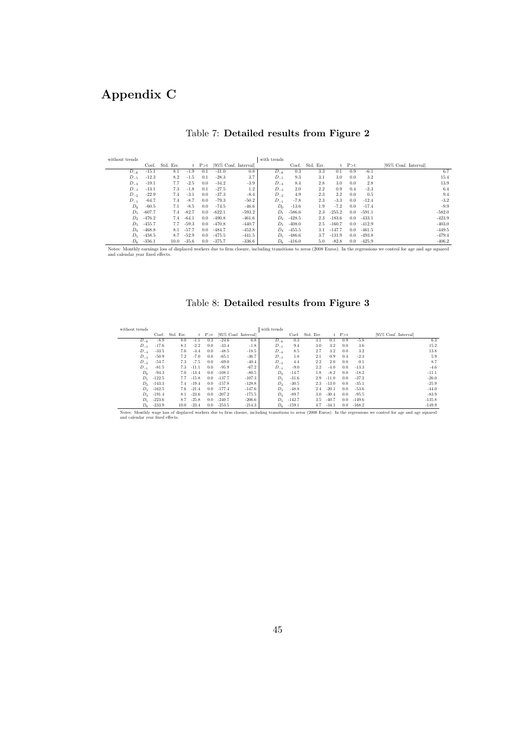# Appendix C

| without trends    |          |           |         |               |          |                      | with trends       |          |           |          |               |          |                      |
|-------------------|----------|-----------|---------|---------------|----------|----------------------|-------------------|----------|-----------|----------|---------------|----------|----------------------|
|                   | Coef.    | Std. Err. | t.      | P > t         |          | [95% Conf. Interval] |                   | Coef.    | Std. Err. |          | $t$ $P > t$   |          | [95% Conf. Interval] |
| $D_{-6}$          | $-15.1$  | 8.1       | $-1.9$  | 0.1           | $-31.0$  | 0.8                  | $D_{-6}$          | 0.3      | 3.3       | 0.1      | 0.9           | $-6.1$   | 6.7                  |
| $D_{-5}$          | $-12.3$  | 8.2       | $-1.5$  | 0.1           | $-28.3$  | 3.7                  | $D_{-5}$          | 9.3      | 3.1       | 3.0      | 0.0           | 3.2      | 15.4                 |
| $D_{-4}$          | $-19.1$  | 7.7       | $-2.5$  | 0.0           | $-34.2$  | $-3.9$               | $D_{-4}$          | 8.4      | 2.8       | 3.0      | 0.0           | 2.8      | 13.9                 |
| $D_{-3}$          | $-13.1$  | 7.3       | $-1.8$  | 0.1           | $-27.5$  | 1.2                  | $D_{-3}$          | 2.0      | $2.2\,$   | 0.9      | 0.4           | $-2.3$   | 6.4                  |
| $D_{-2}$          | $-22.9$  | 7.4       | $-3.1$  | 0.0           | $-37.3$  | $-8.4$               | $D_{-2}$          | 4.9      | 2.3       | $2.2\,$  | 0.0           | 0.5      | 9.4                  |
| $D_{-1}$          | $-64.7$  | 7.4       | $-8.7$  | 0.0           | $-79.3$  | $-50.2$              | $D_{-1}$          | $-7.8$   | 2.3       | $-3.3$   | 0.0           | $-12.4$  | $-3.2$               |
| $D_0$             | $-60.5$  | 7.1       | $-8.5$  | 0.0           | $-74.5$  | $-46.6$              | $D_0$             | $-13.6$  | 1.9       | $-7.2$   | 0.0           | $-17.4$  | $-9.9$               |
| $D_1$             | $-607.7$ | 7.4       | $-82.7$ | 0.0           | $-622.1$ | $-593.2$             | $D_1$             | $-586.6$ | 2.3       | $-255.2$ | $0.0^{\circ}$ | $-591.1$ | $-582.0$             |
| $D_2$             | $-476.2$ | 7.4       | $-64.1$ | $0.0^{\circ}$ | $-490.8$ | $-461.6$             | $D_{2}$           | $-428.5$ | 2.3       | $-183.6$ | $0.0^{\circ}$ | $-433.1$ | $-423.9$             |
| $D_3$             | $-455.7$ | 7.7       | $-59.3$ | 0.0           | $-470.8$ | $-440.7$             | $D_3$             | $-408.0$ | 2.5       | $-160.7$ | $0.0^{\circ}$ | $-412.9$ | $-403.0$             |
| $D_4$             | $-468.8$ | 8.1       | $-57.7$ | 0.0           | $-484.7$ | $-452.8$             | $D_{4}$           | $-455.5$ | 3.1       | $-147.7$ | $0.0^{\circ}$ | $-461.5$ | $-449.5$             |
| $D_5$             | $-458.5$ | 8.7       | $-52.9$ | $0.0^{\circ}$ | $-475.5$ | $-441.5$             | $D_{\pi}$         | $-486.6$ | 3.7       | $-131.9$ | $0.0^{\circ}$ | $-493.8$ | $-479.4$             |
| $D_{\mathcal{B}}$ | $-356.1$ | 10.0      | $-35.6$ | 0.0           | $-375.7$ | $-336.6$             | $D_{\mathcal{R}}$ | $-416.0$ | 5.0       | $-82.8$  | 0.0           | $-425.9$ | $-406.2$             |
|                   |          | .         |         |               |          |                      | .                 |          |           | .        |               |          | .                    |

## Table 7: Detailed results from Figure 2

Notes: Monthly earnings loss of displaced workers due to firm closure, including transitions to zeros (2008 Euros). In the regressions we control for age and age squared and calendar year fixed effects.

## Table 8: Detailed results from Figure 3

| without trends     |          |           |         |             |          |                      | with trends       |          |           |         |             |          |                      |
|--------------------|----------|-----------|---------|-------------|----------|----------------------|-------------------|----------|-----------|---------|-------------|----------|----------------------|
|                    | Coef.    | Std. Err. |         | $t$ $P > t$ |          | [95% Conf. Interval] |                   | Coef.    | Std. Err. |         | $t$ $P > t$ |          | [95% Conf. Interval] |
| $D_{-6}$           | $-8.9$   | 8.0       | $-1.1$  | 0.3         | $-24.6$  | 6.8                  | $D_{-6}$          | 0.3      | 3.1       | 0.1     | 0.9         | $-5.8$   | 6.3                  |
| $D_{-5}$           | $-17.6$  | 8.1       | $-2.2$  | 0.0         | $-33.4$  | $-1.8$               | $D_{-5}$          | 9.4      | 3.0       | $3.2\,$ | 0.0         | 3.6      | 15.2                 |
| $D_{-4}$           | $-33.5$  | 7.6       | $-4.4$  | 0.0         | $-48.5$  | $-18.5$              | $D_{-4}$          | 8.5      | 2.7       | $3.2\,$ | 0.0         | 3.2      | 13.8                 |
| $D_{-3}$           | $-50.9$  | 7.2       | $-7.0$  | 0.0         | $-65.1$  | $-36.7$              | $D_{-3}$          | 1.8      | 2.1       | 0.9     | 0.4         | $-2.3$   | 5.9                  |
| $D_{-2}$           | $-54.7$  | 7.3       | $-7.5$  | 0.0         | $-69.0$  | $-40.4$              | $D_{-2}$          | 4.4      | 2.2       | 2.0     | 0.0         | 0.1      | 8.7                  |
| $D_{-1}$           | $-81.5$  | 7.3       | $-11.1$ | 0.0         | $-95.9$  | $-67.2$              | $D_{-1}$          | $-9.0$   | 2.2       | $-4.0$  | 0.0         | $-13.3$  | $-4.6$               |
| $D_0$              | $-94.3$  | 7.0       | $-13.4$ | 0.0         | $-108.1$ | $-80.5$              | $D_0$             | $-14.7$  | 1.8       | $-8.2$  | 0.0         | $-18.2$  | $-11.1$              |
| $D_1$              | $-122.5$ | 7.7       | $-15.8$ | 0.0         | $-137.7$ | $-107.3$             | $D_1$             | $-31.6$  | 2.9       | $-11.0$ | 0.0         | $-37.2$  | $-26.0$              |
| $D_{2}$            | $-143.3$ | 7.4       | $-19.4$ | 0.0         | $-157.8$ | $-128.8$             | $D_2$             | $-30.5$  | $2.3\,$   | $-13.0$ | 0.0         | $-35.1$  | $-25.9$              |
| $D_{\mathcal{R}}$  | $-162.5$ | 7.6       | $-21.4$ | 0.0         | $-177.4$ | $-147.6$             | $D_3$             | $-48.8$  | 2.4       | $-20.1$ | 0.0         | $-53.6$  | $-44.0$              |
| $D_4$              | $-191.4$ | 8.1       | $-23.6$ | 0.0         | $-207.2$ | $-175.5$             | $D_4$             | $-89.7$  | 3.0       | $-30.4$ | 0.0         | $-95.5$  | $-83.9$              |
| $D_5$              | $-223.6$ | 8.7       | $-25.8$ | 0.0         | $-240.7$ | $-206.6$             | $D_{\frac{1}{2}}$ | $-142.7$ | 3.5       | $-40.7$ | 0.0         | $-149.6$ | $-135.8$             |
| $D_{\mathfrak{s}}$ | $-233.9$ | 10.0      | $-23.4$ | 0.0         | $-253.5$ | $-214.3$             | $D_6$             | $-159.1$ | 4.7       | $-34.1$ | 0.0         | $-168.2$ | $-149.9$             |

Notes: Monthly wage loss of displaced workers due to firm closure, including transitions to zeros (2008 Euros). In the regressions we control for age and age squared and calendar year fixed effects.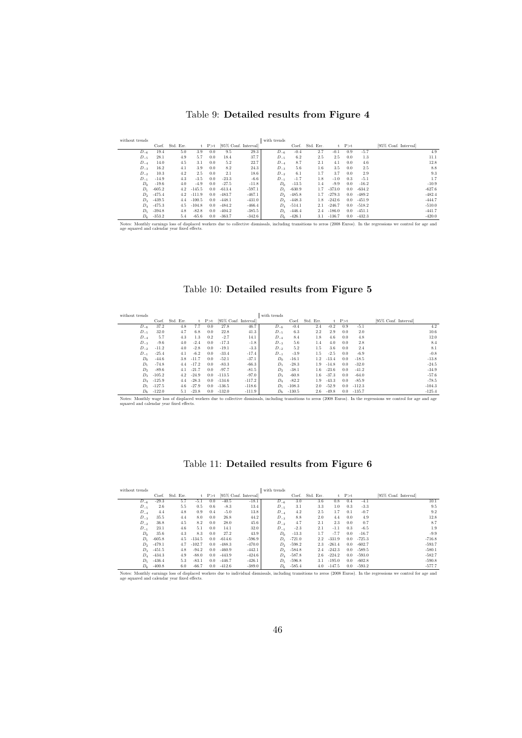## Table 9: Detailed results from Figure 4

| without trends |          |           |          |               |                      |          | with trends |          |           |          |             |          |                      |
|----------------|----------|-----------|----------|---------------|----------------------|----------|-------------|----------|-----------|----------|-------------|----------|----------------------|
|                | Coef.    | Std. Err. | t.       | P > t         | [95% Conf. Interval] |          |             | Coef.    | Std. Err. |          | $t$ $P > t$ |          | [95% Conf. Interval] |
| $D_{-6}$       | 19.4     | 5.0       | 3.9      | 0.0           | 9.5                  | 29.3     | $D_{-6}$    | $-0.4$   | 2.7       | $-0.1$   | 0.9         | $-5.7$   | 4.9                  |
| $D_{-5}$       | 28.1     | 4.9       | 5.7      | 0.0           | 18.4                 | 37.7     | $D_{-5}$    | 6.2      | 2.5       | 2.5      | 0.0         | 1.3      | 11.1                 |
| $D_{-4}$       | 14.0     | 4.5       | 3.1      | 0.0           | 5.2                  | 22.7     | $D_{-4}$    | 8.7      | 2.1       | 4.1      | 0.0         | 4.6      | 12.8                 |
| $D_{-3}$       | 16.2     | 4.1       | 3.9      | 0.0           | 8.2                  | 24.3     | $D_{-3}$    | 5.6      | 1.6       | 3.5      | 0.0         | 2.5      | 8.8                  |
| $D_{-2}$       | 10.3     | 4.2       | 2.5      | 0.0           | 2.1                  | 18.6     | $D_{-2}$    | 6.1      | 1.7       | 3.7      | 0.0         | 2.9      | 9.3                  |
| $D_{-1}$       | $-14.9$  | 4.3       | $-3.5$   | 0.0           | $-23.3$              | $-6.6$   | $D_{-1}$    | $-1.7$   | 1.8       | $-1.0$   | 0.3         | $-5.1$   | 1.7                  |
| $D_0$          | $-19.6$  | 4.0       | $-4.9$   | 0.0           | $-27.5$              | $-11.8$  | $D_0$       | $-13.5$  | 1.4       | $-9.9$   | 0.0         | $-16.2$  | $-10.9$              |
| $D_1$          | $-605.2$ | 4.2       | $-145.5$ | 0.0           | $-613.4$             | $-597.1$ | $D_1$       | $-630.9$ | 1.7       | $-373.0$ | 0.0         | $-634.2$ | $-627.6$             |
| D <sub>2</sub> | $-475.4$ | 4.2       | $-111.9$ | $0.0^{\circ}$ | $-483.7$             | $-467.1$ | $D_2$       | $-485.8$ | 1.7       | $-279.3$ | 0.0         | $-489.2$ | $-482.4$             |
| $D_3$          | $-439.5$ | 4.4       | $-100.5$ | $0.0^{\circ}$ | $-448.1$             | $-431.0$ | $D_3$       | $-448.3$ | 1.8       | $-242.6$ | 0.0         | $-451.9$ | $-444.7$             |
| $D_4$          | $-475.3$ | 4.5       | $-104.8$ | $0.0^{\circ}$ | $-484.2$             | $-466.4$ | $D_4$       | $-514.1$ | 2.1       | $-246.7$ | 0.0         | $-518.2$ | $-510.0$             |
| $D_5$          | $-394.8$ | 4.8       | $-82.8$  | $0.0^{\circ}$ | $-404.2$             | $-385.5$ | $D_5$       | $-446.4$ | 2.4       | $-186.0$ | 0.0         | $-451.1$ | $-441.7$             |
| $D_6$          | $-353.2$ | 5.4       | $-65.6$  | 0.0           | $-363.7$             | $-342.6$ | $D_6$       | $-426.1$ | 3.1       | $-136.7$ | 0.0         | $-432.3$ | $-420.0$             |

Notes: Monthly earnings loss of displaced workers due to collective dismissals, including transitions to zeros (2008 Euros). In the regressions we control for age and age squared and calendar year fixed effects.

## Table 10: Detailed results from Figure 5

| without trends    |          |           |         |       |          |                      | with trends    |          |           |         |       |          |                      |          |
|-------------------|----------|-----------|---------|-------|----------|----------------------|----------------|----------|-----------|---------|-------|----------|----------------------|----------|
|                   | Coef.    | Std. Err. | t       | P > t |          | [95% Conf. Interval] |                | Coef.    | Std. Err. |         | P > t |          | [95% Conf. Interval] |          |
| $D_{-6}$          | 37.2     | 4.8       | 7.7     | 0.0   | 27.8     | 46.7                 | $D_{-6}$       | $-0.4$   | 2.4       | $-0.2$  | 0.9   | $-5.1$   |                      | 4.2      |
| $D_{-5}$          | 32.0     | 4.7       | 6.8     | 0.0   | 22.8     | 41.3                 | $D_{-5}$       | 6.3      | 2.2       | 2.9     | 0.0   | 2.0      |                      | 10.6     |
| $D_{-4}$          | 5.7      | 4.3       | 1.3     | 0.2   | $-2.7$   | 14.1                 | $D_{-4}$       | 8.4      | 1.8       | 4.6     | 0.0   | 4.8      |                      | 12.0     |
| $D_{-3}$          | $-9.6$   | 4.0       | $-2.4$  | 0.0   | $-17.3$  | $-1.8$               | $D_{-3}$       | 5.6      | 1.4       | 4.0     | 0.0   | $2.8\,$  |                      | 8.4      |
| $D_{-2}$          | $-11.2$  | 4.0       | $-2.8$  | 0.0   | $-19.1$  | $-3.3$               | $D_{-2}$       | 5.2      | 1.5       | 3.6     | 0.0   | 2.4      |                      | 8.1      |
| $D_{-1}$          | $-25.4$  | 4.1       | $-6.2$  | 0.0   | $-33.4$  | $-17.4$              | $D_{-1}$       | $-3.9$   | 1.5       | $-2.5$  | 0.0   | $-6.9$   |                      | $-0.8$   |
| $D_0$             | $-44.6$  | 3.8       | $-11.7$ | 0.0   | $-52.1$  | $-37.1$              | $D_0$          | $-16.1$  | 1.2       | $-13.4$ | 0.0   | $-18.5$  |                      | $-13.8$  |
| $D_1$             | $-74.8$  | 4.4       | $-17.2$ | 0.0   | $-83.3$  | $-66.3$              | $D_1$          | $-28.3$  | 1.9       | $-14.8$ | 0.0   | $-32.0$  |                      | $-24.5$  |
| $D_2$             | $-89.6$  | 4.1       | $-21.7$ | 0.0   | $-97.7$  | $-81.5$              | $D_2$          | $-38.1$  | 1.6       | $-23.6$ | 0.0   | $-41.2$  |                      | $-34.9$  |
| $D_3$             | $-105.2$ | 4.2       | $-24.9$ | 0.0   | $-113.5$ | $-97.0$              | $D_3$          | $-60.8$  | 1.6       | $-37.3$ | 0.0   | $-64.0$  |                      | $-57.6$  |
| $D_4$             | $-125.9$ | 4.4       | $-28.3$ | 0.0   | $-134.6$ | $-117.2$             | D <sub>4</sub> | $-82.2$  | 1.9       | $-43.3$ | 0.0   | $-85.9$  |                      | $-78.5$  |
| $D_5$             | $-127.5$ | 4.6       | $-27.9$ | 0.0   | $-136.5$ | $-118.6$             | $D_5$          | $-108.3$ | 2.0       | $-52.9$ | 0.0   | $-112.3$ |                      | $-104.3$ |
| $D_{\mathcal{E}}$ | $-122.0$ | 5.1       | $-23.8$ | 0.0   | $-132.0$ | $-111.9$             | $D_6$          | $-130.5$ | 2.6       | $-49.8$ | 0.0   | $-135.7$ |                      | $-125.4$ |

Notes: Monthly wage loss of displaced workers due to collective dismissals, including transitions to zeros (2008 Euros). In the regressions we control for age and age squared and calendar year fixed effects.

## Table 11: Detailed results from Figure 6

| without trends                               |          |           |          |               |                      |          | with trends    |          |           |          |       |          |                                                                                                                                                                        |
|----------------------------------------------|----------|-----------|----------|---------------|----------------------|----------|----------------|----------|-----------|----------|-------|----------|------------------------------------------------------------------------------------------------------------------------------------------------------------------------|
|                                              | Coef.    | Std. Err. |          | P > t         | [95% Conf. Interval] |          |                | Coef.    | Std. Err. | t.       | P > t |          | [95% Conf. Interval]                                                                                                                                                   |
| $D_{-6}$                                     | $-29.3$  | 5.7       | $-5.1$   | 0.0           | $-40.5$              | $-18.1$  | $D_{-6}$       | 3.0      | 3.6       | 0.8      | 0.4   | $-4.1$   | 10.1                                                                                                                                                                   |
| $D_{-5}$                                     | 2.6      | 5.5       | 0.5      | 0.6           | $-8.3$               | 13.4     | $D_{-5}$       | 3.1      | 3.3       | 1.0      | 0.3   | $-3.3$   | 9.5                                                                                                                                                                    |
| $D_{-4}$                                     | 4.4      | 4.8       | 0.9      | 0.4           | $-5.0$               | 13.8     | $D_{-4}$       | 4.2      | 2.5       | 1.7      | 0.1   | $-0.7$   | 9.2                                                                                                                                                                    |
| $D_{-3}$                                     | 35.5     | 4.4       | 8.0      | 0.0           | 26.8                 | 44.2     | $D_{-3}$       | 8.8      | 2.0       | 4.4      | 0.0   | 4.9      | 12.8                                                                                                                                                                   |
| $D_{-2}$                                     | 36.8     | 4.5       | 8.2      | 0.0           | 28.0                 | 45.6     | $D_{-2}$       | 4.7      | 2.1       | 2.3      | 0.0   | 0.7      | 8.7                                                                                                                                                                    |
| $D_{-1}$                                     | 23.1     | 4.6       | 5.1      | 0.0           | 14.1                 | 32.0     | $D_{-1}$       | $-2.3$   | 2.1       | $-1.1$   | 0.3   | $-6.5$   | 1.9                                                                                                                                                                    |
| $D_0$                                        | 35.6     | 4.3       | 8.3      | 0.0           | 27.2                 | 43.9     | $D_0$          | $-13.3$  | 1.7       | $-7.7$   | 0.0   | $-16.7$  | $-9.9$                                                                                                                                                                 |
| $D_1$                                        | $-605.8$ | 4.5       | $-134.5$ | $0.0^{\circ}$ | $-614.6$             | $-596.9$ | $D_1$          | $-721.0$ | $2.2\,$   | $-331.9$ | 0.0   | $-725.3$ | $-716.8$                                                                                                                                                               |
| D <sub>2</sub>                               | $-479.1$ | 4.7       | $-102.7$ | 0.0           | $-488.3$             | $-470.0$ | $D_{2}$        | $-598.2$ | 2.3       | $-261.4$ | 0.0   | $-602.7$ | $-593.7$                                                                                                                                                               |
| $D_3$                                        | $-451.5$ | 4.8       | $-94.2$  | 0.0           | $-460.9$             | $-442.1$ | $D_3$          | $-584.8$ | 2.4       | $-242.3$ | 0.0   | $-589.5$ | $-580.1$                                                                                                                                                               |
| $D_4$                                        | $-434.3$ | 4.9       | $-88.0$  | $0.0^{\circ}$ | $-443.9$             | $-424.6$ | D <sub>4</sub> | $-587.8$ | 2.6       | $-224.2$ | 0.0   | $-593.0$ | $-582.7$                                                                                                                                                               |
| $D_5$                                        | $-436.4$ | 5.3       | $-83.1$  | $0.0^{\circ}$ | $-446.7$             | $-426.1$ | $D_5$          | $-596.8$ | 3.1       | $-195.0$ | 0.0   | $-602.8$ | $-590.8$                                                                                                                                                               |
| $D_6$                                        | $-400.8$ | 6.0       | $-66.7$  | 0.0           | $-412.6$             | $-389.0$ | $D_6$          | $-585.4$ | 4.0       | $-147.5$ | 0.0   | $-593.2$ | $-577.7$                                                                                                                                                               |
| age squared and calendar year fixed effects. |          |           |          |               |                      |          |                |          |           |          |       |          | Notes: Monthly earnings loss of displaced workers due to individual dismissals, including transitions to zeros (2008 Euros). In the regressions we control for age and |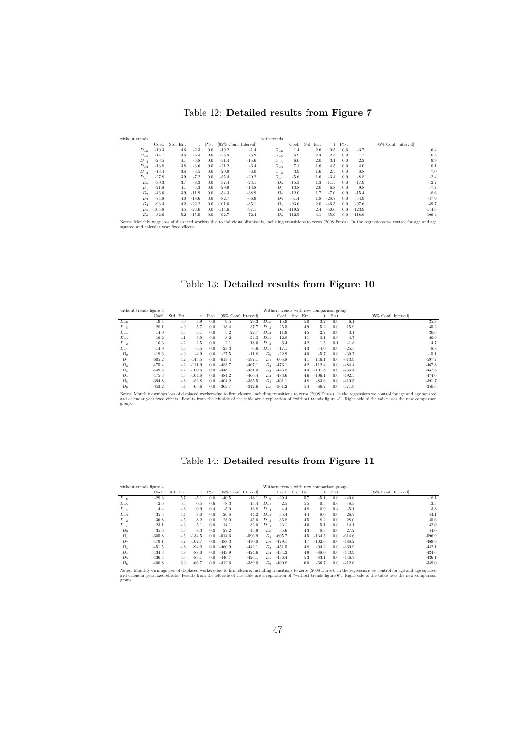### Table 12: Detailed results from Figure 7

| without trends |          |           |         |       |          |                      | with trends     |          |           |         |             |          |                      |
|----------------|----------|-----------|---------|-------|----------|----------------------|-----------------|----------|-----------|---------|-------------|----------|----------------------|
|                | Coef.    | Std. Err. | t.      | P > t |          | [95% Conf. Interval] |                 | Coef.    | Std. Err. |         | $t$ $P > t$ |          | [95% Conf. Interval] |
| $D_{-6}$       | $-10.3$  | 4.6       | $-2.3$  | 0.0   | $-19.2$  | $-1.4$               | $D_{-6}$        | 1.4      | 2.6       | 0.5     | 0.6         | $-3.7$   | 6.4                  |
| $D_{-5}$       | $-14.7$  | 4.5       | $-3.3$  | 0.0   | $-23.5$  | $-5.9$               | $D_{-5}$        | 5.9      | 2.4       | 2.5     | 0.0         | 1.2      | 10.5                 |
| $D_{-4}$       | $-23.5$  | 4.1       | $-5.8$  | 0.0   | $-31.4$  | $-15.6$              | $D_{-4}$        | 6.0      | 2.0       | 3.1     | 0.0         | 2.2      | 9.9                  |
| $D_{-3}$       | $-13.8$  | 3.8       | $-3.6$  | 0.0   | $-21.2$  | $-6.4$               | $D_{-3}$        | 7.1      | $1.6\,$   | 4.5     | 0.0         | 4.0      | 10.1                 |
| $D_{-2}$       | $-13.4$  | 3.8       | $-3.5$  | 0.0   | $-20.9$  | $-6.0$               | $D_{-2}$        | 3.9      | $1.6\,$   | 2.5     | 0.0         | 0.8      | 7.0                  |
| $D_{-1}$       | $-27.8$  | 3.9       | $-7.2$  | 0.0   | $-35.4$  | $-20.2$              | $D_{-1}$        | $-5.6$   | $1.6\,$   | $-3.4$  | 0.0         | $-8.8$   | $-2.4$               |
| $D_0$          | $-30.3$  | 3.7       | $-8.3$  | 0.0   | $-37.4$  | $-23.1$              | $D_0$           | $-15.3$  | $1.3\,$   | $-11.5$ | 0.0         | $-17.9$  | $-12.7$              |
| $D_1$          | $-21.8$  | 4.1       | $-5.3$  | 0.0   | $-29.9$  | $-13.8$              | $D_1$           | 13.8     | 2.0       | 6.8     | 0.0         | 9.8      | 17.7                 |
| $D_2$          | $-46.6$  | 3.9       | $-11.9$ | 0.0   | $-54.3$  | $-38.9$              | $D_2$           | $-12.0$  | 1.7       | $-7.0$  | 0.0         | $-15.4$  | $-8.6$               |
| $D_3$          | $-74.8$  | 4.0       | $-18.6$ | 0.0   | $-82.7$  | $-66.9$              | $D_3$           | $-51.4$  | 1.8       | $-28.7$ | 0.0         | $-54.9$  | $-47.9$              |
| $D_4$          | $-93.4$  | 4.2       | $-22.2$ | 0.0   | $-101.6$ | $-85.1$              | $D_4$           | $-93.6$  | 2.0       | $-46.5$ | 0.0         | $-97.6$  | $-89.7$              |
| $D_{5}$        | $-105.8$ | 4.5       | $-23.6$ | 0.0   | $-114.6$ | $-97.1$              | $D_{\tilde{z}}$ | $-119.2$ | 2.4       | $-50.6$ | 0.0         | $-123.9$ | $-114.6$             |
| $D_6$          | $-82.6$  | 5.2       | $-15.9$ | 0.0   | $-92.7$  | $-72.4$              | $D_6$           | $-112.5$ | 3.1       | $-35.9$ | 0.0         | $-118.6$ | $-106.4$             |

Notes: Monthly wage loss of displaced workers due to individual dismissals, including transitions to zeros (2008 Euros). In the regressions we control for age and age squared and calendar year fixed effects.

## Table 13: Detailed results from Figure 10

| without trends figure 4 |          |           |          |               |          |                      |          |          | Without trends with new comparison group |          |       |          |                      |
|-------------------------|----------|-----------|----------|---------------|----------|----------------------|----------|----------|------------------------------------------|----------|-------|----------|----------------------|
|                         | Coef.    | Std. Err. | t        | P > t         |          | [95% Conf. Interval] |          | Coef.    | Std. Err.                                |          | P > t |          | [95% Conf. Interval] |
| $D_{-6}$                | 19.4     | 5.0       | 3.9      | 0.0           | 9.5      | 29.3                 | $D_{-6}$ | 15.9     | 5.0                                      | 3.2      | 0.0   | 6.1      | 25.8                 |
| $D_{-5}$                | 28.1     | 4.9       | 5.7      | 0.0           | 18.4     | 37.7                 | $D_{-5}$ | 25.5     | 4.9                                      | 5.2      | 0.0   | 15.9     | 35.2                 |
| $D_{-4}$                | 14.0     | 4.5       | 3.1      | 0.0           | 5.2      | 22.7                 | $D_{-4}$ | 11.9     | 4.5                                      | 2.7      | 0.0   | 3.1      | 20.6                 |
| $D_{-3}$                | 16.2     | 4.1       | 3.9      | 0.0           | 8.2      | 24.3                 | $D_{-3}$ | 12.8     | 4.1                                      | 3.1      | 0.0   | 4.7      | 20.9                 |
| $D_{-2}$                | 10.3     | 4.2       | 2.5      | 0.0           | 2.1      | 18.6                 | $D_{-2}$ | 6.4      | 4.2                                      | 1.5      | 0.1   | $-1.8$   | 14.7                 |
| $D_{-1}$                | $-14.9$  | 4.3       | $-3.5$   | 0.0           | $-23.3$  | $-6.6$               | $D_{-1}$ | $-17.1$  | 4.3                                      | $-4.0$   | 0.0   | $-25.5$  | $-8.8$               |
| $D_0$                   | $-19.6$  | 4.0       | $-4.9$   | 0.0           | $-27.5$  | $-11.8$              | $D_0$    | $-22.9$  | 4.0                                      | $-5.7$   | 0.0   | $-30.7$  | $-15.1$              |
| $D_1$                   | $-605.2$ | 4.2       | $-145.5$ | 0.0           | $-613.4$ | $-597.1$             | $D_1$    | $-605.8$ | 4.1                                      | $-146.1$ | 0.0   | $-613.9$ | $-597.7$             |
| $D_2$                   | $-475.4$ | 4.2       | $-111.9$ | 0.0           | $-483.7$ | $-467.1$             | Do.      | $-476.1$ | 4.2                                      | $-112.4$ | 0.0   | $-484.4$ | $-467.8$             |
| $D_3$                   | $-439.5$ | 4.4       | $-100.5$ | 0.0           | $-448.1$ | $-431.0$             | $D_3$    | $-445.8$ | 4.4                                      | $-101.8$ | 0.0   | $-454.4$ | $-437.3$             |
| $D_4$                   | $-475.3$ | 4.5       | $-104.8$ | $0.0^{\circ}$ | $-484.2$ | $-466.4$             | Dл       | $-483.6$ | 4.6                                      | $-106.1$ | 0.0   | $-492.5$ | $-474.6$             |
| $D_5$                   | $-394.8$ | 4.8       | $-82.8$  | 0.0           | $-404.2$ | $-385.5$             | Dε       | $-401.1$ | 4.8                                      | $-83.6$  | 0.0   | $-410.5$ | $-391.7$             |
| $D_6$                   | $-353.2$ | 5.4       | $-65.6$  | 0.0           | $-363.7$ | $-342.6$             | $D_6$    | $-361.2$ | 5.4                                      | $-66.7$  | 0.0   | $-371.9$ | $-350.6$             |

- and calendar year fixed effects. Results from the left side of the table are a replication of "without trends figure 4". Right side of the table uses the new comparison group.

## Table 14: Detailed results from Figure 11

| without trends figure 4 |          |           |          | Without trends with new comparison group |          |                      |                 |          |           |          |       |          |                      |
|-------------------------|----------|-----------|----------|------------------------------------------|----------|----------------------|-----------------|----------|-----------|----------|-------|----------|----------------------|
|                         | Coef.    | Std. Err. |          | $t$ $P > t$                              |          | [95% Conf. Interval] |                 | Coef.    | Std. Err. | t.       | P > t |          | [95% Conf. Interval] |
| $D_{-6}$                | $-29.3$  | 5.7       | $-5.1$   | 0.0                                      | $-40.5$  | $-18.1$              | $D_{-6}$        | $-29.4$  | 5.7       | $-5.1$   | 0.0   | $-40.6$  | $-18.1$              |
| $D_{-5}$                | 2.6      | 5.5       | 0.5      | 0.6                                      | $-8.3$   | 13.4                 | $D_{-5}$        | 2.5      | 5.5       | 0.5      | 0.6   | $-8.3$   | 13.3                 |
| $D_{-4}$                | 4.4      | 4.8       | 0.9      | 0.4                                      | $-5.0$   | 13.8                 | $D_{-4}$        | 4.4      | 4.8       | 0.9      | 0.4   | $-5.1$   | 13.8                 |
| $D_{-3}$                | 35.5     | 4.4       | 8.0      | 0.0                                      | 26.8     | 44.2                 | $D_{-3}$        | 35.4     | 4.4       | 8.0      | 0.0   | 26.7     | 44.1                 |
| $D_{-2}$                | 36.8     | 4.5       | 8.2      | 0.0                                      | 28.0     | 45.6                 | $D_{-2}$        | 36.8     | 4.5       | 8.2      | 0.0   | 28.0     | 45.6                 |
| $D_{-1}$                | 23.1     | 4.6       | 5.1      | 0.0                                      | 14.1     | 32.0                 | $D_{-1}$        | 23.1     | 4.6       | 5.1      | 0.0   | 14.1     | 32.0                 |
| $D_0$                   | 35.6     | 4.3       | 8.3      | 0.0                                      | 27.2     | 43.9                 | $D_0$           | 35.6     | 4.3       | 8.3      | 0.0   | 27.2     | 44.0                 |
| $D_1$                   | $-605.8$ | 4.5       | $-134.5$ | 0.0                                      | $-614.6$ | $-596.9$             | $D_1$           | $-605.7$ | 4.5       | $-134.5$ | 0.0   | $-614.6$ | $-596.9$             |
| $D_2$                   | $-479.1$ | 4.7       | $-102.7$ | 0.0                                      | $-488.3$ | $-470.0$             | $D_{2}$         | $-479.1$ | 4.7       | $-102.6$ | 0.0   | $-488.2$ | $-469.9$             |
| $D_3$                   | $-451.5$ | 4.8       | $-94.2$  | 0.0                                      | $-460.9$ | $-442.1$             | $D_3$           | $-451.5$ | 4.8       | $-94.2$  | 0.0   | $-460.9$ | $-442.1$             |
| $D_4$                   | $-434.3$ | 4.9       | $-88.0$  | 0.0                                      | $-443.9$ | $-424.6$             | $D_{4}$         | $-434.2$ | 4.9       | $-88.0$  | 0.0   | $-443.9$ | $-424.6$             |
| $D_5$                   | $-436.4$ | 5.3       | $-83.1$  | 0.0                                      | $-446.7$ | $-426.1$             | $D_{\tilde{z}}$ | $-436.4$ | 5.3       | $-83.1$  | 0.0   | $-446.7$ | $-426.1$             |
| $D_6$                   | $-400.8$ | 6.0       | $-66.7$  | 0.0                                      | $-412.6$ | $-389.0$             | Dε              | $-400.8$ | 6.0       | $-66.7$  | 0.0   | $-412.6$ | $-389.0$             |

- and calendar year fixed effects. Results from the left side of the table are a replication of "without trends figure 6". Right side of the table uses the new comparison group.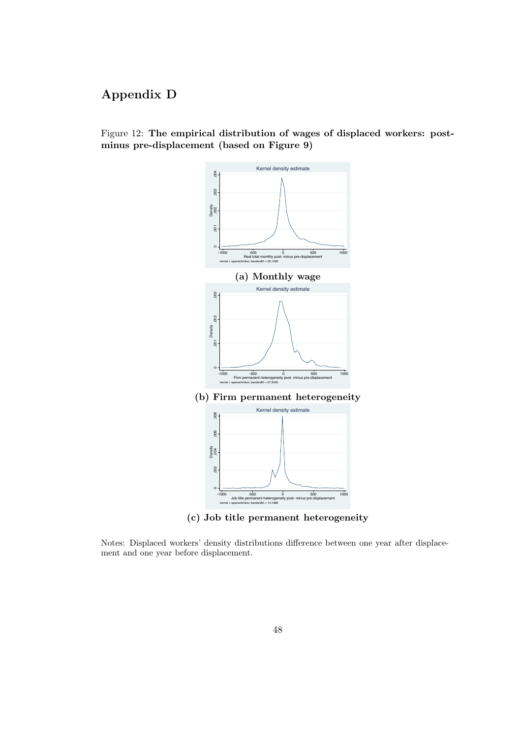# Appendix D

## Figure 12: The empirical distribution of wages of displaced workers: postminus pre-displacement (based on Figure 9)



(c) Job title permanent heterogeneity

Notes: Displaced workers' density distributions difference between one year after displacement and one year before displacement.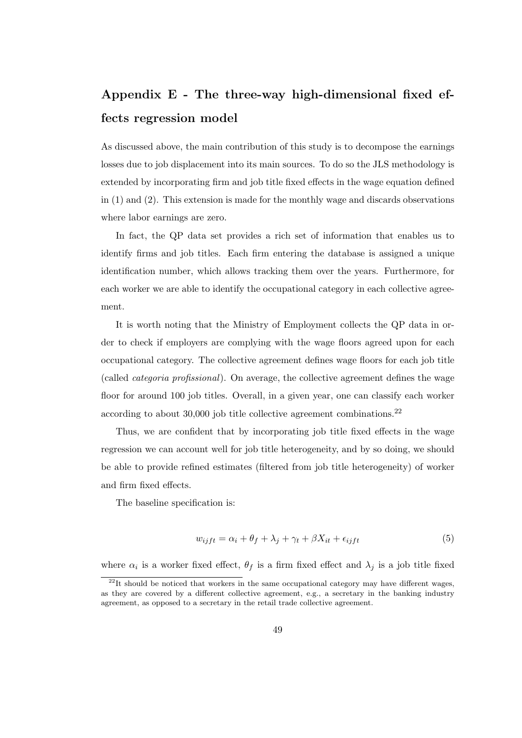# Appendix E - The three-way high-dimensional fixed effects regression model

As discussed above, the main contribution of this study is to decompose the earnings losses due to job displacement into its main sources. To do so the JLS methodology is extended by incorporating firm and job title fixed effects in the wage equation defined in (1) and (2). This extension is made for the monthly wage and discards observations where labor earnings are zero.

In fact, the QP data set provides a rich set of information that enables us to identify firms and job titles. Each firm entering the database is assigned a unique identification number, which allows tracking them over the years. Furthermore, for each worker we are able to identify the occupational category in each collective agreement.

It is worth noting that the Ministry of Employment collects the QP data in order to check if employers are complying with the wage floors agreed upon for each occupational category. The collective agreement defines wage floors for each job title (called categoria profissional). On average, the collective agreement defines the wage floor for around 100 job titles. Overall, in a given year, one can classify each worker according to about  $30,000$  job title collective agreement combinations.<sup>22</sup>

Thus, we are confident that by incorporating job title fixed effects in the wage regression we can account well for job title heterogeneity, and by so doing, we should be able to provide refined estimates (filtered from job title heterogeneity) of worker and firm fixed effects.

The baseline specification is:

$$
w_{ijft} = \alpha_i + \theta_f + \lambda_j + \gamma_t + \beta X_{it} + \epsilon_{ijft}
$$
\n<sup>(5)</sup>

where  $\alpha_i$  is a worker fixed effect,  $\theta_f$  is a firm fixed effect and  $\lambda_j$  is a job title fixed

 $^{22}$ It should be noticed that workers in the same occupational category may have different wages, as they are covered by a different collective agreement, e.g., a secretary in the banking industry agreement, as opposed to a secretary in the retail trade collective agreement.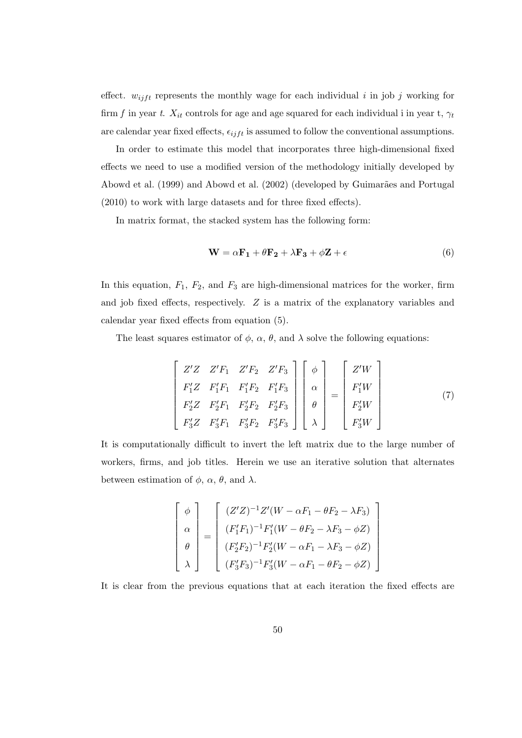effect.  $w_{ijft}$  represents the monthly wage for each individual i in job j working for firm f in year t.  $X_{it}$  controls for age and age squared for each individual i in year t,  $\gamma_t$ are calendar year fixed effects,  $\epsilon_{ijft}$  is assumed to follow the conventional assumptions.

In order to estimate this model that incorporates three high-dimensional fixed effects we need to use a modified version of the methodology initially developed by Abowd et al. (1999) and Abowd et al. (2002) (developed by Guimarães and Portugal (2010) to work with large datasets and for three fixed effects).

In matrix format, the stacked system has the following form:

$$
\mathbf{W} = \alpha \mathbf{F_1} + \theta \mathbf{F_2} + \lambda \mathbf{F_3} + \phi \mathbf{Z} + \epsilon
$$
 (6)

In this equation,  $F_1$ ,  $F_2$ , and  $F_3$  are high-dimensional matrices for the worker, firm and job fixed effects, respectively. Z is a matrix of the explanatory variables and calendar year fixed effects from equation (5).

The least squares estimator of  $\phi$ ,  $\alpha$ ,  $\theta$ , and  $\lambda$  solve the following equations:

$$
\begin{bmatrix}\nZ'Z & Z'F_1 & Z'F_2 & Z'F_3 \\
F'_1Z & F'_1F_1 & F'_1F_2 & F'_1F_3 \\
F'_2Z & F'_2F_1 & F'_2F_2 & F'_2F_3 \\
F'_3Z & F'_3F_1 & F'_3F_2 & F'_3F_3\n\end{bmatrix}\n\begin{bmatrix}\n\phi \\
\alpha \\
\theta \\
\lambda\n\end{bmatrix} =\n\begin{bmatrix}\nZ'W \\
F'_1W \\
F'_2W \\
F'_3W\n\end{bmatrix}
$$
\n(7)

It is computationally difficult to invert the left matrix due to the large number of workers, firms, and job titles. Herein we use an iterative solution that alternates between estimation of  $\phi$ ,  $\alpha$ ,  $\theta$ , and  $\lambda$ .

$$
\begin{bmatrix}\n\phi \\
\alpha \\
\beta\n\end{bmatrix} = \begin{bmatrix}\n(Z'Z)^{-1}Z'(W - \alpha F_1 - \theta F_2 - \lambda F_3) \\
(F'_1F_1)^{-1}F'_1(W - \theta F_2 - \lambda F_3 - \phi Z) \\
(F'_2F_2)^{-1}F'_2(W - \alpha F_1 - \lambda F_3 - \phi Z) \\
(F'_3F_3)^{-1}F'_3(W - \alpha F_1 - \theta F_2 - \phi Z)\n\end{bmatrix}
$$

It is clear from the previous equations that at each iteration the fixed effects are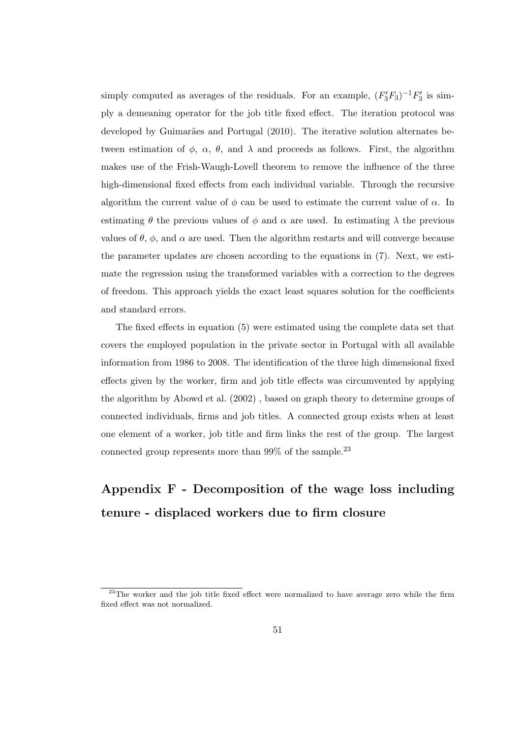simply computed as averages of the residuals. For an example,  $(F'_3F_3)^{-1}F'_3$  is simply a demeaning operator for the job title fixed effect. The iteration protocol was developed by Guimarães and Portugal (2010). The iterative solution alternates between estimation of  $\phi$ ,  $\alpha$ ,  $\theta$ , and  $\lambda$  and proceeds as follows. First, the algorithm makes use of the Frish-Waugh-Lovell theorem to remove the influence of the three high-dimensional fixed effects from each individual variable. Through the recursive algorithm the current value of  $\phi$  can be used to estimate the current value of  $\alpha$ . In estimating  $\theta$  the previous values of  $\phi$  and  $\alpha$  are used. In estimating  $\lambda$  the previous values of  $\theta$ ,  $\phi$ , and  $\alpha$  are used. Then the algorithm restarts and will converge because the parameter updates are chosen according to the equations in (7). Next, we estimate the regression using the transformed variables with a correction to the degrees of freedom. This approach yields the exact least squares solution for the coefficients and standard errors.

The fixed effects in equation (5) were estimated using the complete data set that covers the employed population in the private sector in Portugal with all available information from 1986 to 2008. The identification of the three high dimensional fixed effects given by the worker, firm and job title effects was circumvented by applying the algorithm by Abowd et al. (2002) , based on graph theory to determine groups of connected individuals, firms and job titles. A connected group exists when at least one element of a worker, job title and firm links the rest of the group. The largest connected group represents more than  $99\%$  of the sample.<sup>23</sup>

# Appendix F - Decomposition of the wage loss including tenure - displaced workers due to firm closure

<sup>&</sup>lt;sup>23</sup>The worker and the job title fixed effect were normalized to have average zero while the firm fixed effect was not normalized.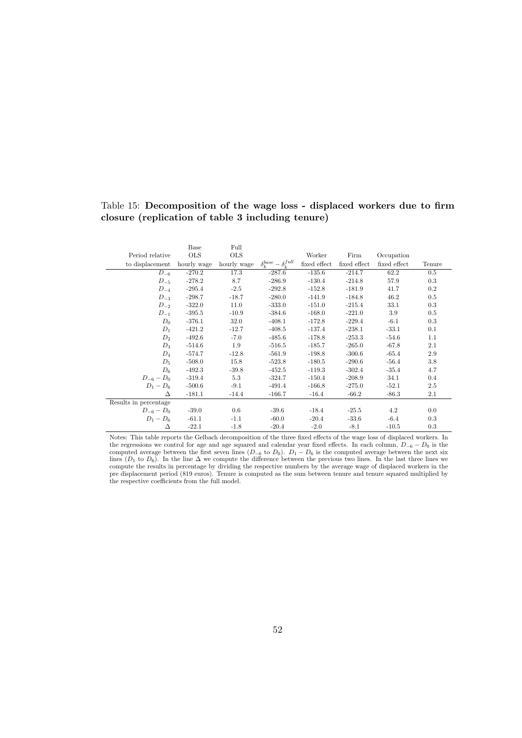## Table 15: Decomposition of the wage loss - displaced workers due to firm closure (replication of table 3 including tenure)

|                       | Base                    | Full       |                                     |              |              |              |        |
|-----------------------|-------------------------|------------|-------------------------------------|--------------|--------------|--------------|--------|
| Period relative       | <b>OLS</b>              | <b>OLS</b> |                                     | Worker       | Firm         | Occupation   |        |
| to displacement       | hourly wage hourly wage |            | $\delta_k^{base} - \delta_k^{full}$ | fixed effect | fixed effect | fixed effect | Tenure |
| $D_{-6}$              | $-270.2$                | 17.3       | $-287.6$                            | $-135.6$     | $-214.7$     | 62.2         | 0.5    |
| $D_{-5}$              | $-278.2$                | 8.7        | $-286.9$                            | $-130.4$     | $-214.8$     | 57.9         | 0.3    |
| $D_{-4}$              | $-295.4$                | $-2.5$     | $-292.8$                            | $-152.8$     | $-181.9$     | 41.7         | 0.2    |
| $D_{-3}$              | $-298.7$                | $-18.7$    | $-280.0$                            | $-141.9$     | $-184.8$     | 46.2         | 0.5    |
| $D_{-2}$              | $-322.0$                | 11.0       | $-333.0$                            | $-151.0$     | $-215.4$     | 33.1         | 0.3    |
| $D_{-1}$              | $-395.5$                | $-10.9$    | $-384.6$                            | $-168.0$     | $-221.0$     | 3.9          | 0.5    |
| $D_0$                 | $-376.1$                | 32.0       | $-408.1$                            | $-172.8$     | $-229.4$     | $-6.1$       | 0.3    |
| $D_1$                 | $-421.2$                | $-12.7$    | $-408.5$                            | $-137.4$     | $-238.1$     | $-33.1$      | 0.1    |
| $D_2$                 | $-492.6$                | $-7.0$     | $-485.6$                            | $-178.8$     | $-253.3$     | $-54.6$      | 1.1    |
| $D_3$                 | $-514.6$                | 1.9        | $-516.5$                            | $-185.7$     | $-265.0$     | $-67.8$      | 2.1    |
| $D_4$                 | $-574.7$                | $-12.8$    | $-561.9$                            | $-198.8$     | $-300.6$     | $-65.4$      | 2.9    |
| $D_5$                 | $-508.0$                | 15.8       | $-523.8$                            | $-180.5$     | $-290.6$     | $-56.4$      | 3.8    |
| $D_6$                 | $-492.3$                | $-39.8$    | $-452.5$                            | $-119.3$     | $-302.4$     | $-35.4$      | 4.7    |
| $D_{-6} - D_0$        | $-319.4$                | 5.3        | $-324.7$                            | $-150.4$     | $-208.9$     | 34.1         | 0.4    |
| $D_1 - D_6$           | $-500.6$                | $-9.1$     | $-491.4$                            | $-166.8$     | $-275.0$     | $-52.1$      | 2.5    |
| Δ                     | $-181.1$                | $-14.4$    | $-166.7$                            | $-16.4$      | $-66.2$      | $-86.3$      | 2.1    |
| Results in percentage |                         |            |                                     |              |              |              |        |
| $D_{-6} - D_0$        | $-39.0$                 | $0.6\,$    | $-39.6$                             | $-18.4$      | $-25.5$      | 4.2          | 0.0    |
| $D_1 - D_6$           | $-61.1$                 | $-1.1$     | $-60.0$                             | $-20.4$      | $-33.6$      | $-6.4$       | 0.3    |
| Δ                     | $-22.1$                 | $-1.8$     | $-20.4$                             | $-2.0$       | $-8.1$       | $-10.5$      | 0.3    |

Notes: This table reports the Gelbach decomposition of the three fixed effects of the wage loss of displaced workers. In the regressions we control for age and age squared and calendar year fixed effects. In each column,  $D_{-6} - D_0$  is the computed average between the first seven lines  $(D_{-6}$  to  $D_0)$ .  $D_1 - D_6$  is the computed average between the next six lines ( $D_1$  to  $D_6$ ). In the line  $\Delta$  we compute the difference between the previous two lines. In the last three lines we compute the results in percentage by dividing the respective numbers by the average wage of displaced workers in the pre displacement period (819 euros). Tenure is computed as the sum between tenure and tenure squared multiplied by the respective coefficients from the full model.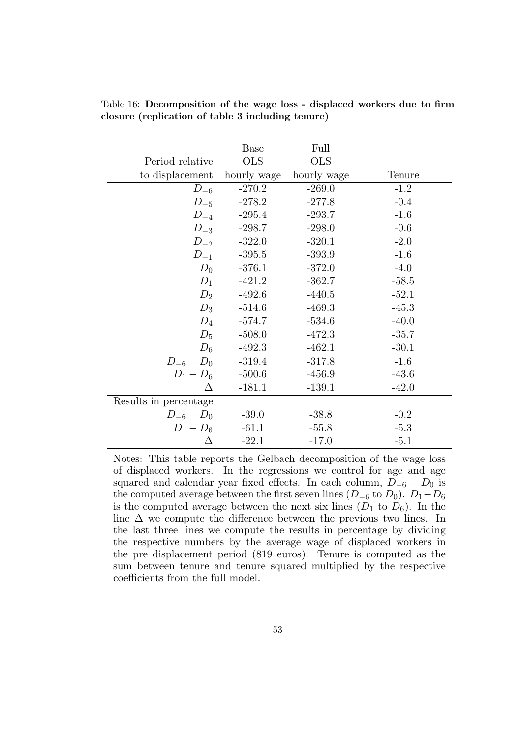|                       | <b>Base</b> | Full        |         |
|-----------------------|-------------|-------------|---------|
| Period relative       | <b>OLS</b>  | <b>OLS</b>  |         |
| to displacement       | hourly wage | hourly wage | Tenure  |
| $D_{-6}$              | $-270.2$    | $-269.0$    | $-1.2$  |
| $D_{-5}$              | $-278.2$    | $-277.8$    | $-0.4$  |
| $D_{-4}$              | $-295.4$    | $-293.7$    | $-1.6$  |
| $D_{-3}$              | $-298.7$    | $-298.0$    | $-0.6$  |
| $D_{-2}$              | $-322.0$    | $-320.1$    | $-2.0$  |
| $D_{-1}$              | $-395.5$    | $-393.9$    | $-1.6$  |
| $D_0$                 | $-376.1$    | $-372.0$    | $-4.0$  |
| $D_1$                 | $-421.2$    | $-362.7$    | $-58.5$ |
| $D_2$                 | $-492.6$    | $-440.5$    | $-52.1$ |
| $D_3$                 | $-514.6$    | $-469.3$    | $-45.3$ |
| $D_4$                 | $-574.7$    | $-534.6$    | $-40.0$ |
| $D_5$                 | $-508.0$    | $-472.3$    | $-35.7$ |
| $D_6$                 | $-492.3$    | $-462.1$    | $-30.1$ |
| $D_{-6} - D_0$        | $-319.4$    | $-317.8$    | $-1.6$  |
| $D_1 - D_6$           | $-500.6$    | $-456.9$    | $-43.6$ |
| Δ                     | $-181.1$    | $-139.1$    | $-42.0$ |
| Results in percentage |             |             |         |
| $D_{-6} - D_0$        | $-39.0$     | $-38.8$     | $-0.2$  |
| $D_1 - D_6$           | $-61.1$     | $-55.8$     | $-5.3$  |
| Δ                     | $-22.1$     | $-17.0$     | $-5.1$  |

Table 16: Decomposition of the wage loss - displaced workers due to firm closure (replication of table 3 including tenure)

Notes: This table reports the Gelbach decomposition of the wage loss of displaced workers. In the regressions we control for age and age squared and calendar year fixed effects. In each column,  $D_{-6} - D_0$  is the computed average between the first seven lines  $(D_{-6}$  to  $D_0)$ .  $D_1 - D_6$ is the computed average between the next six lines  $(D_1$  to  $D_6)$ . In the line  $\Delta$  we compute the difference between the previous two lines. In the last three lines we compute the results in percentage by dividing the respective numbers by the average wage of displaced workers in the pre displacement period (819 euros). Tenure is computed as the sum between tenure and tenure squared multiplied by the respective coefficients from the full model.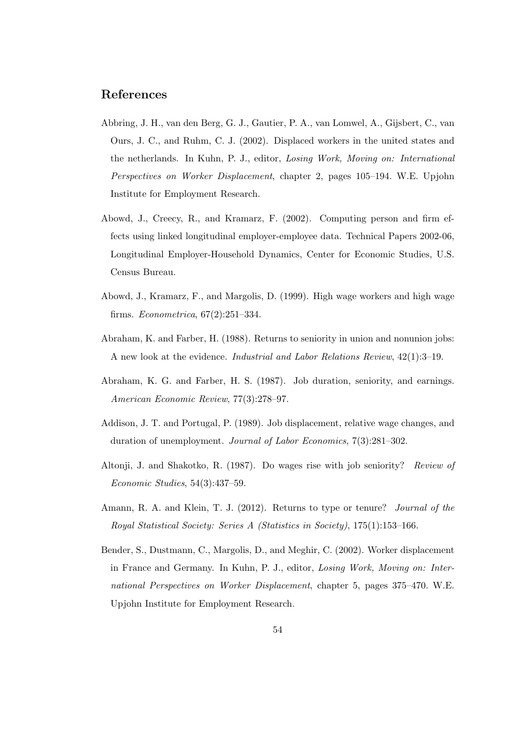# References

- Abbring, J. H., van den Berg, G. J., Gautier, P. A., van Lomwel, A., Gijsbert, C., van Ours, J. C., and Ruhm, C. J. (2002). Displaced workers in the united states and the netherlands. In Kuhn, P. J., editor, Losing Work, Moving on: International Perspectives on Worker Displacement, chapter 2, pages 105–194. W.E. Upjohn Institute for Employment Research.
- Abowd, J., Creecy, R., and Kramarz, F. (2002). Computing person and firm effects using linked longitudinal employer-employee data. Technical Papers 2002-06, Longitudinal Employer-Household Dynamics, Center for Economic Studies, U.S. Census Bureau.
- Abowd, J., Kramarz, F., and Margolis, D. (1999). High wage workers and high wage firms. Econometrica, 67(2):251–334.
- Abraham, K. and Farber, H. (1988). Returns to seniority in union and nonunion jobs: A new look at the evidence. Industrial and Labor Relations Review, 42(1):3–19.
- Abraham, K. G. and Farber, H. S. (1987). Job duration, seniority, and earnings. American Economic Review, 77(3):278–97.
- Addison, J. T. and Portugal, P. (1989). Job displacement, relative wage changes, and duration of unemployment. Journal of Labor Economics, 7(3):281–302.
- Altonji, J. and Shakotko, R. (1987). Do wages rise with job seniority? Review of Economic Studies, 54(3):437–59.
- Amann, R. A. and Klein, T. J. (2012). Returns to type or tenure? Journal of the Royal Statistical Society: Series A (Statistics in Society), 175(1):153–166.
- Bender, S., Dustmann, C., Margolis, D., and Meghir, C. (2002). Worker displacement in France and Germany. In Kuhn, P. J., editor, Losing Work, Moving on: International Perspectives on Worker Displacement, chapter 5, pages 375–470. W.E. Upjohn Institute for Employment Research.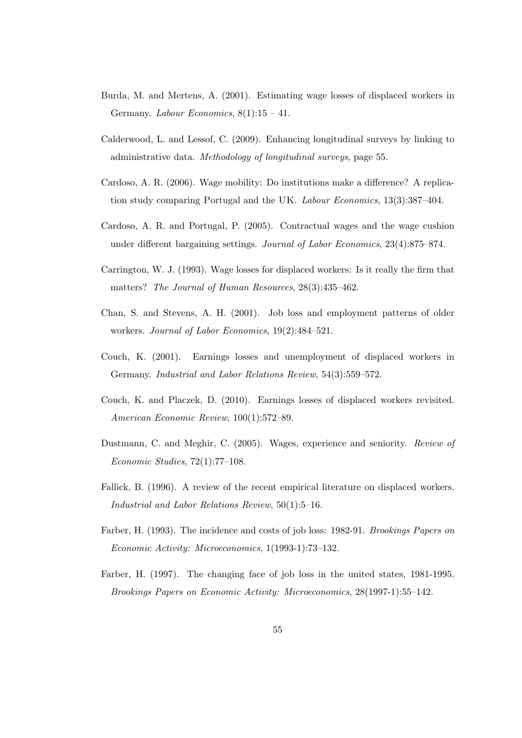- Burda, M. and Mertens, A. (2001). Estimating wage losses of displaced workers in Germany. *Labour Economics*,  $8(1):15 - 41$ .
- Calderwood, L. and Lessof, C. (2009). Enhancing longitudinal surveys by linking to administrative data. Methodology of longitudinal surveys, page 55.
- Cardoso, A. R. (2006). Wage mobility: Do institutions make a difference? A replication study comparing Portugal and the UK. Labour Economics, 13(3):387–404.
- Cardoso, A. R. and Portugal, P. (2005). Contractual wages and the wage cushion under different bargaining settings. Journal of Labor Economics, 23(4):875–874.
- Carrington, W. J. (1993). Wage losses for displaced workers: Is it really the firm that matters? The Journal of Human Resources, 28(3):435–462.
- Chan, S. and Stevens, A. H. (2001). Job loss and employment patterns of older workers. Journal of Labor Economics, 19(2):484–521.
- Couch, K. (2001). Earnings losses and unemployment of displaced workers in Germany. Industrial and Labor Relations Review, 54(3):559–572.
- Couch, K. and Placzek, D. (2010). Earnings losses of displaced workers revisited. American Economic Review, 100(1):572–89.
- Dustmann, C. and Meghir, C. (2005). Wages, experience and seniority. Review of Economic Studies, 72(1):77–108.
- Fallick, B. (1996). A review of the recent empirical literature on displaced workers. Industrial and Labor Relations Review, 50(1):5–16.
- Farber, H. (1993). The incidence and costs of job loss: 1982-91. Brookings Papers on Economic Activity: Microeconomics, 1(1993-1):73–132.
- Farber, H. (1997). The changing face of job loss in the united states, 1981-1995. Brookings Papers on Economic Activity: Microeconomics, 28(1997-1):55–142.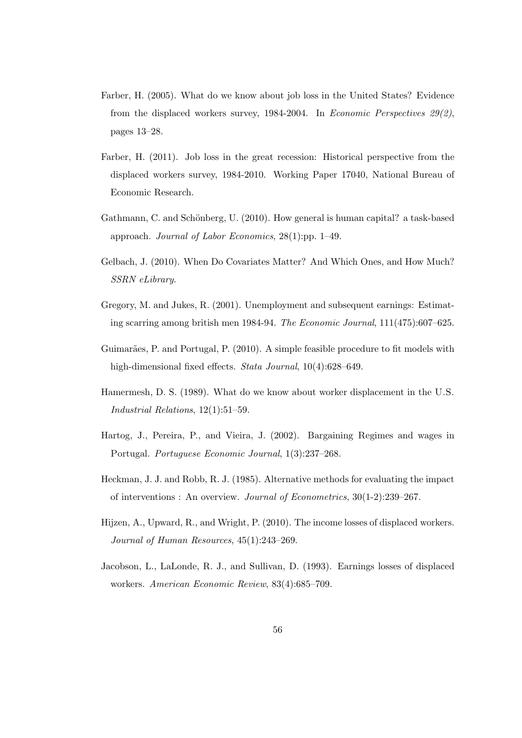- Farber, H. (2005). What do we know about job loss in the United States? Evidence from the displaced workers survey, 1984-2004. In Economic Perspectives 29(2), pages 13–28.
- Farber, H. (2011). Job loss in the great recession: Historical perspective from the displaced workers survey, 1984-2010. Working Paper 17040, National Bureau of Economic Research.
- Gathmann, C. and Schönberg, U. (2010). How general is human capital? a task-based approach. Journal of Labor Economics, 28(1):pp. 1–49.
- Gelbach, J. (2010). When Do Covariates Matter? And Which Ones, and How Much? SSRN eLibrary.
- Gregory, M. and Jukes, R. (2001). Unemployment and subsequent earnings: Estimating scarring among british men 1984-94. The Economic Journal, 111(475):607–625.
- Guimarães, P. and Portugal, P. (2010). A simple feasible procedure to fit models with high-dimensional fixed effects. *Stata Journal*, 10(4):628–649.
- Hamermesh, D. S. (1989). What do we know about worker displacement in the U.S. Industrial Relations, 12(1):51–59.
- Hartog, J., Pereira, P., and Vieira, J. (2002). Bargaining Regimes and wages in Portugal. Portuguese Economic Journal, 1(3):237–268.
- Heckman, J. J. and Robb, R. J. (1985). Alternative methods for evaluating the impact of interventions : An overview. Journal of Econometrics, 30(1-2):239–267.
- Hijzen, A., Upward, R., and Wright, P. (2010). The income losses of displaced workers. Journal of Human Resources, 45(1):243–269.
- Jacobson, L., LaLonde, R. J., and Sullivan, D. (1993). Earnings losses of displaced workers. American Economic Review, 83(4):685–709.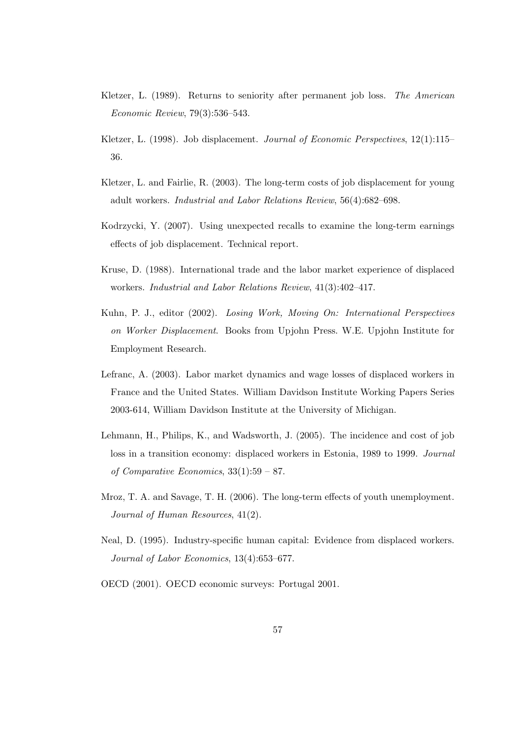- Kletzer, L. (1989). Returns to seniority after permanent job loss. The American Economic Review, 79(3):536–543.
- Kletzer, L. (1998). Job displacement. *Journal of Economic Perspectives*, 12(1):115– 36.
- Kletzer, L. and Fairlie, R. (2003). The long-term costs of job displacement for young adult workers. Industrial and Labor Relations Review, 56(4):682–698.
- Kodrzycki, Y. (2007). Using unexpected recalls to examine the long-term earnings effects of job displacement. Technical report.
- Kruse, D. (1988). International trade and the labor market experience of displaced workers. Industrial and Labor Relations Review, 41(3):402–417.
- Kuhn, P. J., editor (2002). Losing Work, Moving On: International Perspectives on Worker Displacement. Books from Upjohn Press. W.E. Upjohn Institute for Employment Research.
- Lefranc, A. (2003). Labor market dynamics and wage losses of displaced workers in France and the United States. William Davidson Institute Working Papers Series 2003-614, William Davidson Institute at the University of Michigan.
- Lehmann, H., Philips, K., and Wadsworth, J. (2005). The incidence and cost of job loss in a transition economy: displaced workers in Estonia, 1989 to 1999. Journal of Comparative Economics, 33(1):59 – 87.
- Mroz, T. A. and Savage, T. H. (2006). The long-term effects of youth unemployment. Journal of Human Resources, 41(2).
- Neal, D. (1995). Industry-specific human capital: Evidence from displaced workers. Journal of Labor Economics, 13(4):653–677.
- OECD (2001). OECD economic surveys: Portugal 2001.